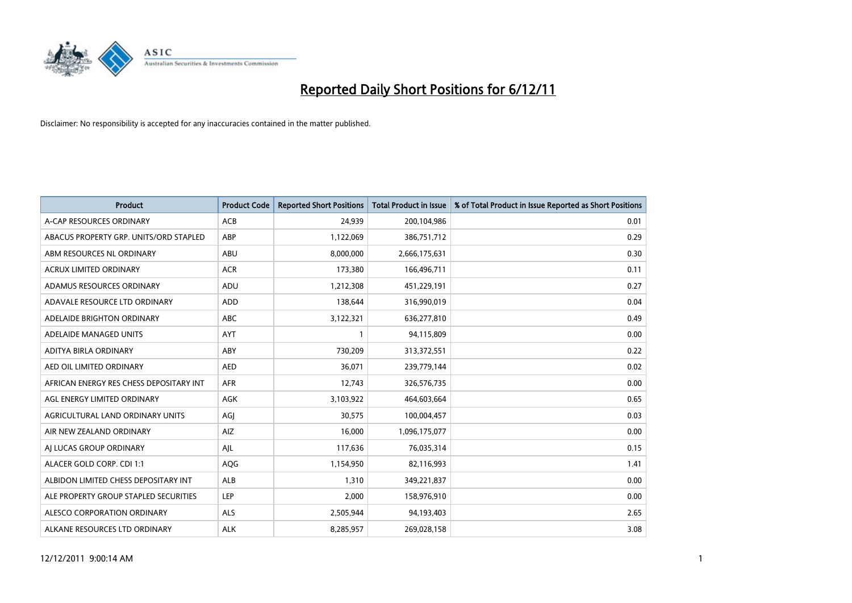

| <b>Product</b>                          | <b>Product Code</b> | <b>Reported Short Positions</b> | <b>Total Product in Issue</b> | % of Total Product in Issue Reported as Short Positions |
|-----------------------------------------|---------------------|---------------------------------|-------------------------------|---------------------------------------------------------|
| A-CAP RESOURCES ORDINARY                | <b>ACB</b>          | 24,939                          | 200,104,986                   | 0.01                                                    |
| ABACUS PROPERTY GRP. UNITS/ORD STAPLED  | <b>ABP</b>          | 1,122,069                       | 386,751,712                   | 0.29                                                    |
| ABM RESOURCES NL ORDINARY               | <b>ABU</b>          | 8,000,000                       | 2,666,175,631                 | 0.30                                                    |
| ACRUX LIMITED ORDINARY                  | <b>ACR</b>          | 173,380                         | 166,496,711                   | 0.11                                                    |
| ADAMUS RESOURCES ORDINARY               | ADU                 | 1,212,308                       | 451,229,191                   | 0.27                                                    |
| ADAVALE RESOURCE LTD ORDINARY           | ADD                 | 138,644                         | 316,990,019                   | 0.04                                                    |
| ADELAIDE BRIGHTON ORDINARY              | <b>ABC</b>          | 3,122,321                       | 636,277,810                   | 0.49                                                    |
| ADELAIDE MANAGED UNITS                  | <b>AYT</b>          |                                 | 94,115,809                    | 0.00                                                    |
| ADITYA BIRLA ORDINARY                   | ABY                 | 730.209                         | 313,372,551                   | 0.22                                                    |
| AED OIL LIMITED ORDINARY                | <b>AED</b>          | 36,071                          | 239,779,144                   | 0.02                                                    |
| AFRICAN ENERGY RES CHESS DEPOSITARY INT | <b>AFR</b>          | 12,743                          | 326,576,735                   | 0.00                                                    |
| AGL ENERGY LIMITED ORDINARY             | <b>AGK</b>          | 3,103,922                       | 464,603,664                   | 0.65                                                    |
| AGRICULTURAL LAND ORDINARY UNITS        | AGI                 | 30,575                          | 100,004,457                   | 0.03                                                    |
| AIR NEW ZEALAND ORDINARY                | AIZ                 | 16,000                          | 1,096,175,077                 | 0.00                                                    |
| AI LUCAS GROUP ORDINARY                 | AJL                 | 117,636                         | 76,035,314                    | 0.15                                                    |
| ALACER GOLD CORP. CDI 1:1               | AQG                 | 1,154,950                       | 82,116,993                    | 1.41                                                    |
| ALBIDON LIMITED CHESS DEPOSITARY INT    | ALB                 | 1,310                           | 349,221,837                   | 0.00                                                    |
| ALE PROPERTY GROUP STAPLED SECURITIES   | LEP                 | 2,000                           | 158,976,910                   | 0.00                                                    |
| ALESCO CORPORATION ORDINARY             | <b>ALS</b>          | 2,505,944                       | 94,193,403                    | 2.65                                                    |
| ALKANE RESOURCES LTD ORDINARY           | <b>ALK</b>          | 8,285,957                       | 269,028,158                   | 3.08                                                    |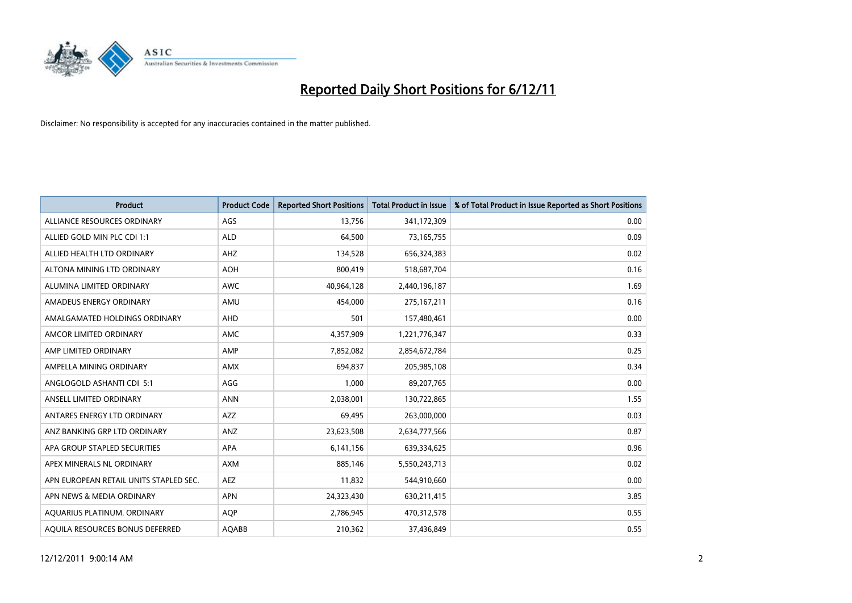

| <b>Product</b>                         | <b>Product Code</b> | <b>Reported Short Positions</b> | <b>Total Product in Issue</b> | % of Total Product in Issue Reported as Short Positions |
|----------------------------------------|---------------------|---------------------------------|-------------------------------|---------------------------------------------------------|
| ALLIANCE RESOURCES ORDINARY            | AGS                 | 13,756                          | 341,172,309                   | 0.00                                                    |
| ALLIED GOLD MIN PLC CDI 1:1            | <b>ALD</b>          | 64,500                          | 73,165,755                    | 0.09                                                    |
| ALLIED HEALTH LTD ORDINARY             | AHZ                 | 134,528                         | 656,324,383                   | 0.02                                                    |
| ALTONA MINING LTD ORDINARY             | <b>AOH</b>          | 800,419                         | 518,687,704                   | 0.16                                                    |
| ALUMINA LIMITED ORDINARY               | <b>AWC</b>          | 40,964,128                      | 2,440,196,187                 | 1.69                                                    |
| AMADEUS ENERGY ORDINARY                | AMU                 | 454,000                         | 275, 167, 211                 | 0.16                                                    |
| AMALGAMATED HOLDINGS ORDINARY          | <b>AHD</b>          | 501                             | 157,480,461                   | 0.00                                                    |
| AMCOR LIMITED ORDINARY                 | <b>AMC</b>          | 4,357,909                       | 1,221,776,347                 | 0.33                                                    |
| AMP LIMITED ORDINARY                   | AMP                 | 7,852,082                       | 2,854,672,784                 | 0.25                                                    |
| AMPELLA MINING ORDINARY                | AMX                 | 694,837                         | 205,985,108                   | 0.34                                                    |
| ANGLOGOLD ASHANTI CDI 5:1              | AGG                 | 1,000                           | 89,207,765                    | 0.00                                                    |
| ANSELL LIMITED ORDINARY                | <b>ANN</b>          | 2,038,001                       | 130,722,865                   | 1.55                                                    |
| ANTARES ENERGY LTD ORDINARY            | <b>AZZ</b>          | 69,495                          | 263,000,000                   | 0.03                                                    |
| ANZ BANKING GRP LTD ORDINARY           | ANZ                 | 23,623,508                      | 2,634,777,566                 | 0.87                                                    |
| APA GROUP STAPLED SECURITIES           | <b>APA</b>          | 6,141,156                       | 639,334,625                   | 0.96                                                    |
| APEX MINERALS NL ORDINARY              | <b>AXM</b>          | 885,146                         | 5,550,243,713                 | 0.02                                                    |
| APN EUROPEAN RETAIL UNITS STAPLED SEC. | <b>AEZ</b>          | 11,832                          | 544,910,660                   | 0.00                                                    |
| APN NEWS & MEDIA ORDINARY              | <b>APN</b>          | 24,323,430                      | 630,211,415                   | 3.85                                                    |
| AOUARIUS PLATINUM. ORDINARY            | <b>AOP</b>          | 2,786,945                       | 470,312,578                   | 0.55                                                    |
| AQUILA RESOURCES BONUS DEFERRED        | <b>AQABB</b>        | 210,362                         | 37,436,849                    | 0.55                                                    |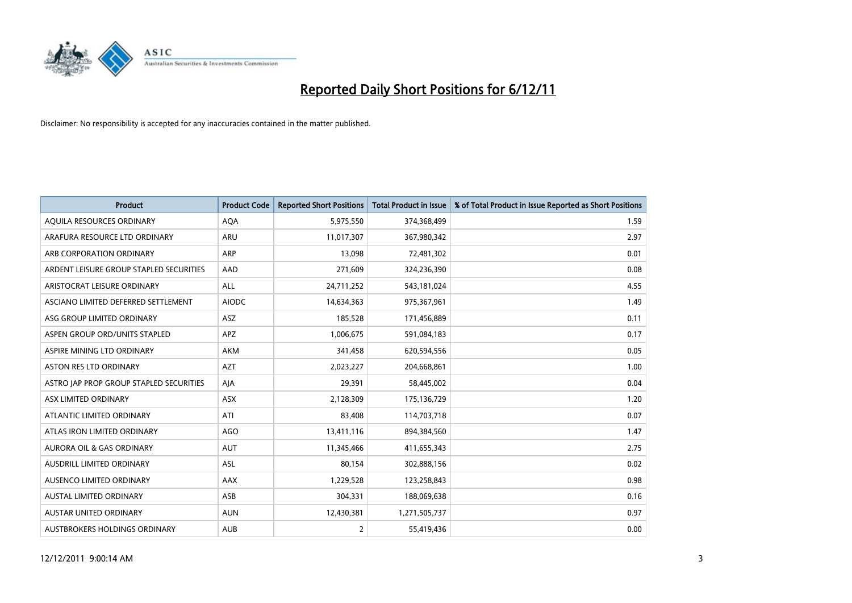

| <b>Product</b>                          | <b>Product Code</b> | <b>Reported Short Positions</b> | <b>Total Product in Issue</b> | % of Total Product in Issue Reported as Short Positions |
|-----------------------------------------|---------------------|---------------------------------|-------------------------------|---------------------------------------------------------|
| AQUILA RESOURCES ORDINARY               | <b>AQA</b>          | 5,975,550                       | 374,368,499                   | 1.59                                                    |
| ARAFURA RESOURCE LTD ORDINARY           | <b>ARU</b>          | 11,017,307                      | 367,980,342                   | 2.97                                                    |
| ARB CORPORATION ORDINARY                | ARP                 | 13,098                          | 72,481,302                    | 0.01                                                    |
| ARDENT LEISURE GROUP STAPLED SECURITIES | AAD                 | 271,609                         | 324,236,390                   | 0.08                                                    |
| ARISTOCRAT LEISURE ORDINARY             | <b>ALL</b>          | 24,711,252                      | 543,181,024                   | 4.55                                                    |
| ASCIANO LIMITED DEFERRED SETTLEMENT     | <b>AIODC</b>        | 14,634,363                      | 975,367,961                   | 1.49                                                    |
| ASG GROUP LIMITED ORDINARY              | <b>ASZ</b>          | 185,528                         | 171,456,889                   | 0.11                                                    |
| ASPEN GROUP ORD/UNITS STAPLED           | <b>APZ</b>          | 1,006,675                       | 591,084,183                   | 0.17                                                    |
| ASPIRE MINING LTD ORDINARY              | <b>AKM</b>          | 341,458                         | 620,594,556                   | 0.05                                                    |
| <b>ASTON RES LTD ORDINARY</b>           | <b>AZT</b>          | 2,023,227                       | 204,668,861                   | 1.00                                                    |
| ASTRO JAP PROP GROUP STAPLED SECURITIES | AJA                 | 29,391                          | 58,445,002                    | 0.04                                                    |
| ASX LIMITED ORDINARY                    | <b>ASX</b>          | 2,128,309                       | 175,136,729                   | 1.20                                                    |
| ATLANTIC LIMITED ORDINARY               | ATI                 | 83,408                          | 114,703,718                   | 0.07                                                    |
| ATLAS IRON LIMITED ORDINARY             | AGO                 | 13,411,116                      | 894,384,560                   | 1.47                                                    |
| <b>AURORA OIL &amp; GAS ORDINARY</b>    | <b>AUT</b>          | 11,345,466                      | 411,655,343                   | 2.75                                                    |
| AUSDRILL LIMITED ORDINARY               | ASL                 | 80,154                          | 302,888,156                   | 0.02                                                    |
| AUSENCO LIMITED ORDINARY                | AAX                 | 1,229,528                       | 123,258,843                   | 0.98                                                    |
| AUSTAL LIMITED ORDINARY                 | ASB                 | 304,331                         | 188,069,638                   | 0.16                                                    |
| AUSTAR UNITED ORDINARY                  | <b>AUN</b>          | 12,430,381                      | 1,271,505,737                 | 0.97                                                    |
| AUSTBROKERS HOLDINGS ORDINARY           | <b>AUB</b>          | $\overline{2}$                  | 55,419,436                    | 0.00                                                    |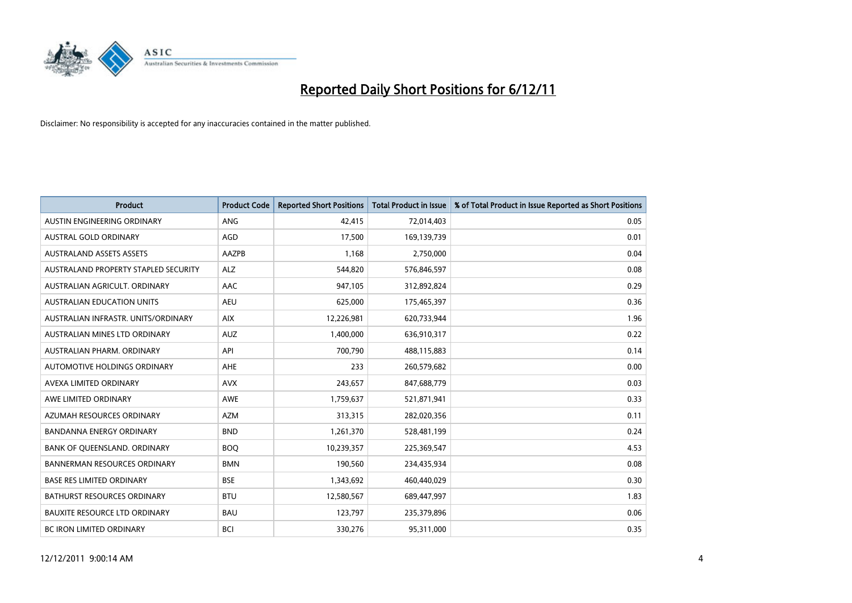

| <b>Product</b>                       | <b>Product Code</b> | <b>Reported Short Positions</b> | Total Product in Issue | % of Total Product in Issue Reported as Short Positions |
|--------------------------------------|---------------------|---------------------------------|------------------------|---------------------------------------------------------|
| AUSTIN ENGINEERING ORDINARY          | <b>ANG</b>          | 42,415                          | 72,014,403             | 0.05                                                    |
| AUSTRAL GOLD ORDINARY                | AGD                 | 17,500                          | 169,139,739            | 0.01                                                    |
| <b>AUSTRALAND ASSETS ASSETS</b>      | AAZPB               | 1,168                           | 2,750,000              | 0.04                                                    |
| AUSTRALAND PROPERTY STAPLED SECURITY | <b>ALZ</b>          | 544,820                         | 576,846,597            | 0.08                                                    |
| AUSTRALIAN AGRICULT, ORDINARY        | AAC                 | 947,105                         | 312,892,824            | 0.29                                                    |
| <b>AUSTRALIAN EDUCATION UNITS</b>    | <b>AEU</b>          | 625,000                         | 175,465,397            | 0.36                                                    |
| AUSTRALIAN INFRASTR, UNITS/ORDINARY  | <b>AIX</b>          | 12,226,981                      | 620,733,944            | 1.96                                                    |
| AUSTRALIAN MINES LTD ORDINARY        | <b>AUZ</b>          | 1,400,000                       | 636,910,317            | 0.22                                                    |
| AUSTRALIAN PHARM, ORDINARY           | API                 | 700,790                         | 488,115,883            | 0.14                                                    |
| AUTOMOTIVE HOLDINGS ORDINARY         | AHE                 | 233                             | 260,579,682            | 0.00                                                    |
| AVEXA LIMITED ORDINARY               | <b>AVX</b>          | 243,657                         | 847,688,779            | 0.03                                                    |
| AWE LIMITED ORDINARY                 | AWE                 | 1,759,637                       | 521,871,941            | 0.33                                                    |
| AZUMAH RESOURCES ORDINARY            | <b>AZM</b>          | 313,315                         | 282,020,356            | 0.11                                                    |
| <b>BANDANNA ENERGY ORDINARY</b>      | <b>BND</b>          | 1,261,370                       | 528,481,199            | 0.24                                                    |
| BANK OF QUEENSLAND. ORDINARY         | <b>BOQ</b>          | 10,239,357                      | 225,369,547            | 4.53                                                    |
| <b>BANNERMAN RESOURCES ORDINARY</b>  | <b>BMN</b>          | 190,560                         | 234,435,934            | 0.08                                                    |
| <b>BASE RES LIMITED ORDINARY</b>     | <b>BSE</b>          | 1,343,692                       | 460,440,029            | 0.30                                                    |
| <b>BATHURST RESOURCES ORDINARY</b>   | <b>BTU</b>          | 12,580,567                      | 689,447,997            | 1.83                                                    |
| <b>BAUXITE RESOURCE LTD ORDINARY</b> | <b>BAU</b>          | 123,797                         | 235,379,896            | 0.06                                                    |
| BC IRON LIMITED ORDINARY             | <b>BCI</b>          | 330,276                         | 95,311,000             | 0.35                                                    |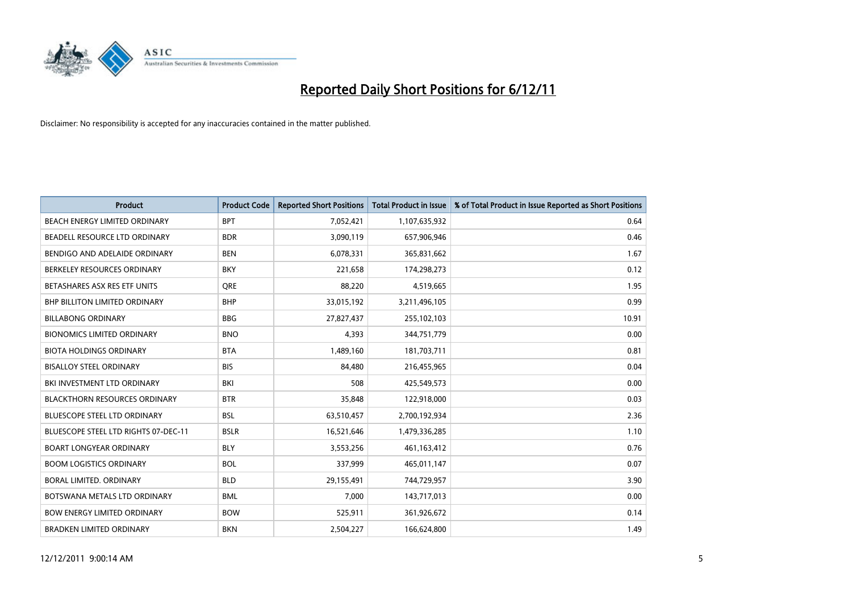

| <b>Product</b>                       | <b>Product Code</b> | <b>Reported Short Positions</b> | <b>Total Product in Issue</b> | % of Total Product in Issue Reported as Short Positions |
|--------------------------------------|---------------------|---------------------------------|-------------------------------|---------------------------------------------------------|
| BEACH ENERGY LIMITED ORDINARY        | <b>BPT</b>          | 7,052,421                       | 1,107,635,932                 | 0.64                                                    |
| BEADELL RESOURCE LTD ORDINARY        | <b>BDR</b>          | 3,090,119                       | 657,906,946                   | 0.46                                                    |
| BENDIGO AND ADELAIDE ORDINARY        | <b>BEN</b>          | 6,078,331                       | 365,831,662                   | 1.67                                                    |
| BERKELEY RESOURCES ORDINARY          | <b>BKY</b>          | 221,658                         | 174,298,273                   | 0.12                                                    |
| BETASHARES ASX RES ETF UNITS         | <b>ORE</b>          | 88,220                          | 4,519,665                     | 1.95                                                    |
| <b>BHP BILLITON LIMITED ORDINARY</b> | <b>BHP</b>          | 33,015,192                      | 3,211,496,105                 | 0.99                                                    |
| <b>BILLABONG ORDINARY</b>            | <b>BBG</b>          | 27,827,437                      | 255,102,103                   | 10.91                                                   |
| <b>BIONOMICS LIMITED ORDINARY</b>    | <b>BNO</b>          | 4,393                           | 344,751,779                   | 0.00                                                    |
| <b>BIOTA HOLDINGS ORDINARY</b>       | <b>BTA</b>          | 1,489,160                       | 181,703,711                   | 0.81                                                    |
| <b>BISALLOY STEEL ORDINARY</b>       | <b>BIS</b>          | 84.480                          | 216,455,965                   | 0.04                                                    |
| BKI INVESTMENT LTD ORDINARY          | BKI                 | 508                             | 425,549,573                   | 0.00                                                    |
| <b>BLACKTHORN RESOURCES ORDINARY</b> | <b>BTR</b>          | 35,848                          | 122,918,000                   | 0.03                                                    |
| <b>BLUESCOPE STEEL LTD ORDINARY</b>  | <b>BSL</b>          | 63,510,457                      | 2,700,192,934                 | 2.36                                                    |
| BLUESCOPE STEEL LTD RIGHTS 07-DEC-11 | <b>BSLR</b>         | 16,521,646                      | 1,479,336,285                 | 1.10                                                    |
| <b>BOART LONGYEAR ORDINARY</b>       | <b>BLY</b>          | 3,553,256                       | 461,163,412                   | 0.76                                                    |
| <b>BOOM LOGISTICS ORDINARY</b>       | <b>BOL</b>          | 337,999                         | 465,011,147                   | 0.07                                                    |
| BORAL LIMITED, ORDINARY              | <b>BLD</b>          | 29,155,491                      | 744,729,957                   | 3.90                                                    |
| BOTSWANA METALS LTD ORDINARY         | <b>BML</b>          | 7,000                           | 143,717,013                   | 0.00                                                    |
| <b>BOW ENERGY LIMITED ORDINARY</b>   | <b>BOW</b>          | 525,911                         | 361,926,672                   | 0.14                                                    |
| <b>BRADKEN LIMITED ORDINARY</b>      | <b>BKN</b>          | 2,504,227                       | 166,624,800                   | 1.49                                                    |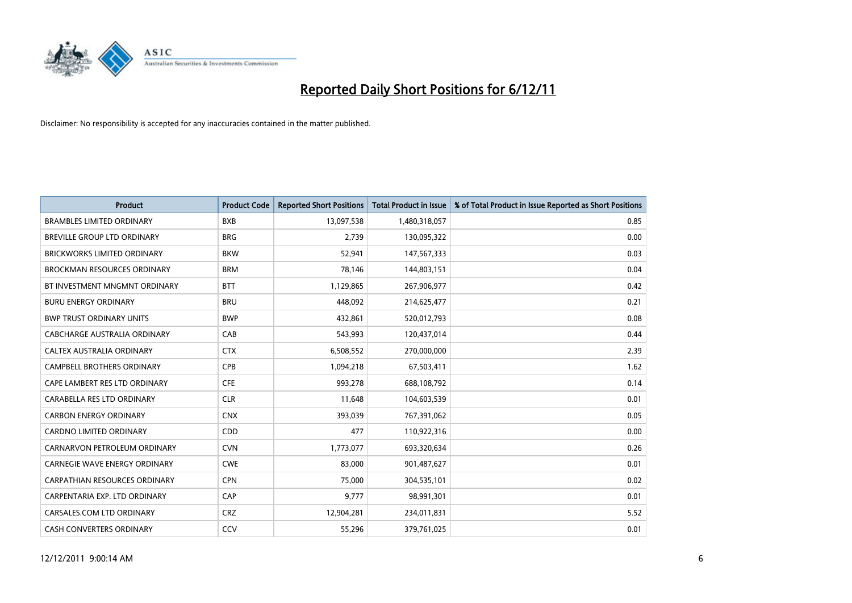

| <b>Product</b>                       | <b>Product Code</b> | <b>Reported Short Positions</b> | <b>Total Product in Issue</b> | % of Total Product in Issue Reported as Short Positions |
|--------------------------------------|---------------------|---------------------------------|-------------------------------|---------------------------------------------------------|
| <b>BRAMBLES LIMITED ORDINARY</b>     | <b>BXB</b>          | 13,097,538                      | 1,480,318,057                 | 0.85                                                    |
| BREVILLE GROUP LTD ORDINARY          | <b>BRG</b>          | 2,739                           | 130,095,322                   | 0.00                                                    |
| <b>BRICKWORKS LIMITED ORDINARY</b>   | <b>BKW</b>          | 52,941                          | 147,567,333                   | 0.03                                                    |
| <b>BROCKMAN RESOURCES ORDINARY</b>   | <b>BRM</b>          | 78,146                          | 144,803,151                   | 0.04                                                    |
| BT INVESTMENT MNGMNT ORDINARY        | <b>BTT</b>          | 1,129,865                       | 267,906,977                   | 0.42                                                    |
| <b>BURU ENERGY ORDINARY</b>          | <b>BRU</b>          | 448,092                         | 214,625,477                   | 0.21                                                    |
| <b>BWP TRUST ORDINARY UNITS</b>      | <b>BWP</b>          | 432,861                         | 520,012,793                   | 0.08                                                    |
| CABCHARGE AUSTRALIA ORDINARY         | CAB                 | 543,993                         | 120,437,014                   | 0.44                                                    |
| CALTEX AUSTRALIA ORDINARY            | <b>CTX</b>          | 6,508,552                       | 270,000,000                   | 2.39                                                    |
| <b>CAMPBELL BROTHERS ORDINARY</b>    | CPB                 | 1,094,218                       | 67,503,411                    | 1.62                                                    |
| CAPE LAMBERT RES LTD ORDINARY        | <b>CFE</b>          | 993,278                         | 688,108,792                   | 0.14                                                    |
| CARABELLA RES LTD ORDINARY           | <b>CLR</b>          | 11,648                          | 104,603,539                   | 0.01                                                    |
| <b>CARBON ENERGY ORDINARY</b>        | <b>CNX</b>          | 393,039                         | 767,391,062                   | 0.05                                                    |
| <b>CARDNO LIMITED ORDINARY</b>       | CDD                 | 477                             | 110,922,316                   | 0.00                                                    |
| CARNARVON PETROLEUM ORDINARY         | <b>CVN</b>          | 1,773,077                       | 693,320,634                   | 0.26                                                    |
| CARNEGIE WAVE ENERGY ORDINARY        | <b>CWE</b>          | 83,000                          | 901,487,627                   | 0.01                                                    |
| <b>CARPATHIAN RESOURCES ORDINARY</b> | <b>CPN</b>          | 75,000                          | 304,535,101                   | 0.02                                                    |
| CARPENTARIA EXP. LTD ORDINARY        | CAP                 | 9,777                           | 98,991,301                    | 0.01                                                    |
| CARSALES.COM LTD ORDINARY            | <b>CRZ</b>          | 12,904,281                      | 234,011,831                   | 5.52                                                    |
| <b>CASH CONVERTERS ORDINARY</b>      | CCV                 | 55,296                          | 379,761,025                   | 0.01                                                    |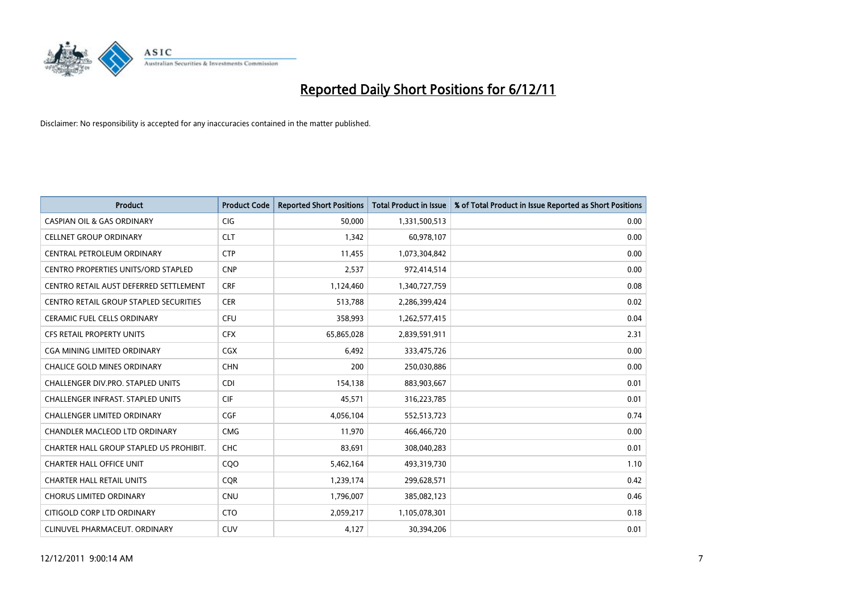

| <b>Product</b>                           | <b>Product Code</b> | <b>Reported Short Positions</b> | <b>Total Product in Issue</b> | % of Total Product in Issue Reported as Short Positions |
|------------------------------------------|---------------------|---------------------------------|-------------------------------|---------------------------------------------------------|
| <b>CASPIAN OIL &amp; GAS ORDINARY</b>    | <b>CIG</b>          | 50,000                          | 1,331,500,513                 | 0.00                                                    |
| <b>CELLNET GROUP ORDINARY</b>            | <b>CLT</b>          | 1,342                           | 60,978,107                    | 0.00                                                    |
| CENTRAL PETROLEUM ORDINARY               | <b>CTP</b>          | 11,455                          | 1,073,304,842                 | 0.00                                                    |
| CENTRO PROPERTIES UNITS/ORD STAPLED      | <b>CNP</b>          | 2,537                           | 972,414,514                   | 0.00                                                    |
| CENTRO RETAIL AUST DEFERRED SETTLEMENT   | <b>CRF</b>          | 1,124,460                       | 1,340,727,759                 | 0.08                                                    |
| CENTRO RETAIL GROUP STAPLED SECURITIES   | <b>CER</b>          | 513,788                         | 2,286,399,424                 | 0.02                                                    |
| <b>CERAMIC FUEL CELLS ORDINARY</b>       | <b>CFU</b>          | 358,993                         | 1,262,577,415                 | 0.04                                                    |
| <b>CFS RETAIL PROPERTY UNITS</b>         | <b>CFX</b>          | 65,865,028                      | 2,839,591,911                 | 2.31                                                    |
| <b>CGA MINING LIMITED ORDINARY</b>       | <b>CGX</b>          | 6,492                           | 333,475,726                   | 0.00                                                    |
| <b>CHALICE GOLD MINES ORDINARY</b>       | <b>CHN</b>          | 200                             | 250,030,886                   | 0.00                                                    |
| CHALLENGER DIV.PRO. STAPLED UNITS        | <b>CDI</b>          | 154,138                         | 883,903,667                   | 0.01                                                    |
| <b>CHALLENGER INFRAST, STAPLED UNITS</b> | <b>CIF</b>          | 45,571                          | 316,223,785                   | 0.01                                                    |
| <b>CHALLENGER LIMITED ORDINARY</b>       | <b>CGF</b>          | 4,056,104                       | 552,513,723                   | 0.74                                                    |
| CHANDLER MACLEOD LTD ORDINARY            | <b>CMG</b>          | 11.970                          | 466,466,720                   | 0.00                                                    |
| CHARTER HALL GROUP STAPLED US PROHIBIT.  | <b>CHC</b>          | 83,691                          | 308,040,283                   | 0.01                                                    |
| <b>CHARTER HALL OFFICE UNIT</b>          | COO                 | 5,462,164                       | 493,319,730                   | 1.10                                                    |
| <b>CHARTER HALL RETAIL UNITS</b>         | <b>COR</b>          | 1,239,174                       | 299,628,571                   | 0.42                                                    |
| <b>CHORUS LIMITED ORDINARY</b>           | <b>CNU</b>          | 1,796,007                       | 385,082,123                   | 0.46                                                    |
| CITIGOLD CORP LTD ORDINARY               | <b>CTO</b>          | 2,059,217                       | 1,105,078,301                 | 0.18                                                    |
| CLINUVEL PHARMACEUT, ORDINARY            | <b>CUV</b>          | 4,127                           | 30,394,206                    | 0.01                                                    |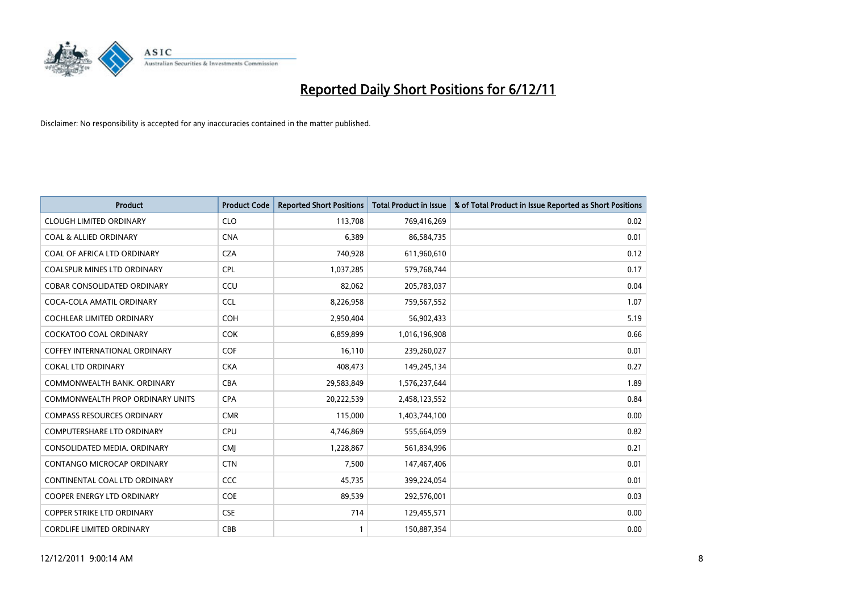

| <b>Product</b>                          | <b>Product Code</b> | <b>Reported Short Positions</b> | <b>Total Product in Issue</b> | % of Total Product in Issue Reported as Short Positions |
|-----------------------------------------|---------------------|---------------------------------|-------------------------------|---------------------------------------------------------|
| <b>CLOUGH LIMITED ORDINARY</b>          | <b>CLO</b>          | 113,708                         | 769,416,269                   | 0.02                                                    |
| <b>COAL &amp; ALLIED ORDINARY</b>       | <b>CNA</b>          | 6,389                           | 86,584,735                    | 0.01                                                    |
| COAL OF AFRICA LTD ORDINARY             | <b>CZA</b>          | 740,928                         | 611,960,610                   | 0.12                                                    |
| COALSPUR MINES LTD ORDINARY             | <b>CPL</b>          | 1,037,285                       | 579,768,744                   | 0.17                                                    |
| <b>COBAR CONSOLIDATED ORDINARY</b>      | CCU                 | 82,062                          | 205,783,037                   | 0.04                                                    |
| COCA-COLA AMATIL ORDINARY               | <b>CCL</b>          | 8,226,958                       | 759,567,552                   | 1.07                                                    |
| <b>COCHLEAR LIMITED ORDINARY</b>        | <b>COH</b>          | 2,950,404                       | 56,902,433                    | 5.19                                                    |
| <b>COCKATOO COAL ORDINARY</b>           | <b>COK</b>          | 6,859,899                       | 1,016,196,908                 | 0.66                                                    |
| COFFEY INTERNATIONAL ORDINARY           | <b>COF</b>          | 16,110                          | 239,260,027                   | 0.01                                                    |
| <b>COKAL LTD ORDINARY</b>               | <b>CKA</b>          | 408,473                         | 149,245,134                   | 0.27                                                    |
| COMMONWEALTH BANK, ORDINARY             | <b>CBA</b>          | 29,583,849                      | 1,576,237,644                 | 1.89                                                    |
| <b>COMMONWEALTH PROP ORDINARY UNITS</b> | <b>CPA</b>          | 20,222,539                      | 2,458,123,552                 | 0.84                                                    |
| <b>COMPASS RESOURCES ORDINARY</b>       | <b>CMR</b>          | 115,000                         | 1,403,744,100                 | 0.00                                                    |
| <b>COMPUTERSHARE LTD ORDINARY</b>       | <b>CPU</b>          | 4,746,869                       | 555,664,059                   | 0.82                                                    |
| CONSOLIDATED MEDIA, ORDINARY            | <b>CMI</b>          | 1,228,867                       | 561,834,996                   | 0.21                                                    |
| CONTANGO MICROCAP ORDINARY              | <b>CTN</b>          | 7,500                           | 147,467,406                   | 0.01                                                    |
| CONTINENTAL COAL LTD ORDINARY           | CCC                 | 45,735                          | 399,224,054                   | 0.01                                                    |
| COOPER ENERGY LTD ORDINARY              | COE                 | 89,539                          | 292,576,001                   | 0.03                                                    |
| <b>COPPER STRIKE LTD ORDINARY</b>       | <b>CSE</b>          | 714                             | 129,455,571                   | 0.00                                                    |
| <b>CORDLIFE LIMITED ORDINARY</b>        | CBB                 |                                 | 150.887.354                   | 0.00                                                    |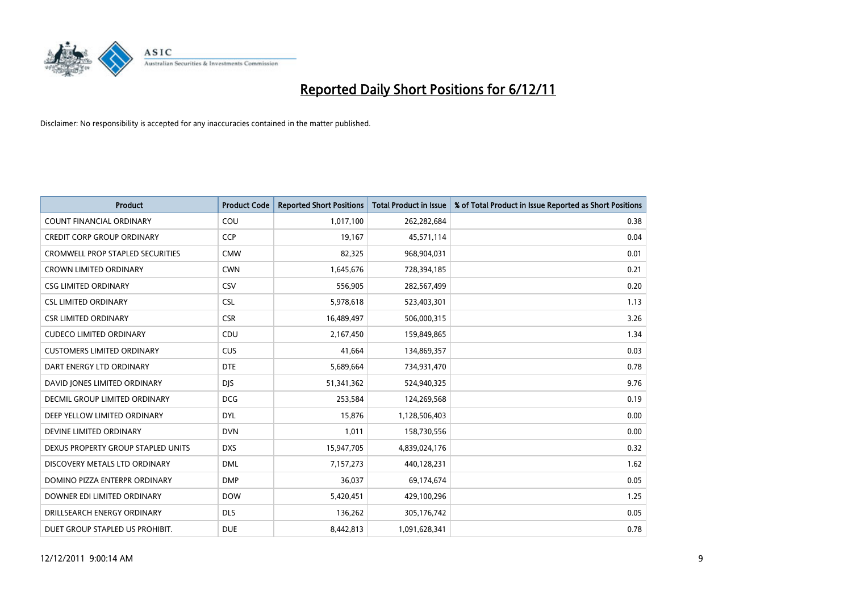

| <b>Product</b>                          | <b>Product Code</b> | <b>Reported Short Positions</b> | <b>Total Product in Issue</b> | % of Total Product in Issue Reported as Short Positions |
|-----------------------------------------|---------------------|---------------------------------|-------------------------------|---------------------------------------------------------|
| <b>COUNT FINANCIAL ORDINARY</b>         | COU                 | 1,017,100                       | 262,282,684                   | 0.38                                                    |
| <b>CREDIT CORP GROUP ORDINARY</b>       | <b>CCP</b>          | 19,167                          | 45,571,114                    | 0.04                                                    |
| <b>CROMWELL PROP STAPLED SECURITIES</b> | <b>CMW</b>          | 82,325                          | 968,904,031                   | 0.01                                                    |
| <b>CROWN LIMITED ORDINARY</b>           | <b>CWN</b>          | 1,645,676                       | 728,394,185                   | 0.21                                                    |
| <b>CSG LIMITED ORDINARY</b>             | CSV                 | 556,905                         | 282,567,499                   | 0.20                                                    |
| <b>CSL LIMITED ORDINARY</b>             | <b>CSL</b>          | 5,978,618                       | 523,403,301                   | 1.13                                                    |
| <b>CSR LIMITED ORDINARY</b>             | <b>CSR</b>          | 16,489,497                      | 506,000,315                   | 3.26                                                    |
| <b>CUDECO LIMITED ORDINARY</b>          | CDU                 | 2,167,450                       | 159,849,865                   | 1.34                                                    |
| <b>CUSTOMERS LIMITED ORDINARY</b>       | <b>CUS</b>          | 41,664                          | 134,869,357                   | 0.03                                                    |
| DART ENERGY LTD ORDINARY                | <b>DTE</b>          | 5,689,664                       | 734,931,470                   | 0.78                                                    |
| DAVID JONES LIMITED ORDINARY            | <b>DJS</b>          | 51,341,362                      | 524,940,325                   | 9.76                                                    |
| <b>DECMIL GROUP LIMITED ORDINARY</b>    | <b>DCG</b>          | 253,584                         | 124,269,568                   | 0.19                                                    |
| DEEP YELLOW LIMITED ORDINARY            | <b>DYL</b>          | 15,876                          | 1,128,506,403                 | 0.00                                                    |
| DEVINE LIMITED ORDINARY                 | <b>DVN</b>          | 1,011                           | 158,730,556                   | 0.00                                                    |
| DEXUS PROPERTY GROUP STAPLED UNITS      | <b>DXS</b>          | 15,947,705                      | 4,839,024,176                 | 0.32                                                    |
| DISCOVERY METALS LTD ORDINARY           | <b>DML</b>          | 7,157,273                       | 440,128,231                   | 1.62                                                    |
| DOMINO PIZZA ENTERPR ORDINARY           | <b>DMP</b>          | 36,037                          | 69,174,674                    | 0.05                                                    |
| DOWNER EDI LIMITED ORDINARY             | <b>DOW</b>          | 5,420,451                       | 429,100,296                   | 1.25                                                    |
| DRILLSEARCH ENERGY ORDINARY             | <b>DLS</b>          | 136,262                         | 305,176,742                   | 0.05                                                    |
| DUET GROUP STAPLED US PROHIBIT.         | <b>DUE</b>          | 8,442,813                       | 1,091,628,341                 | 0.78                                                    |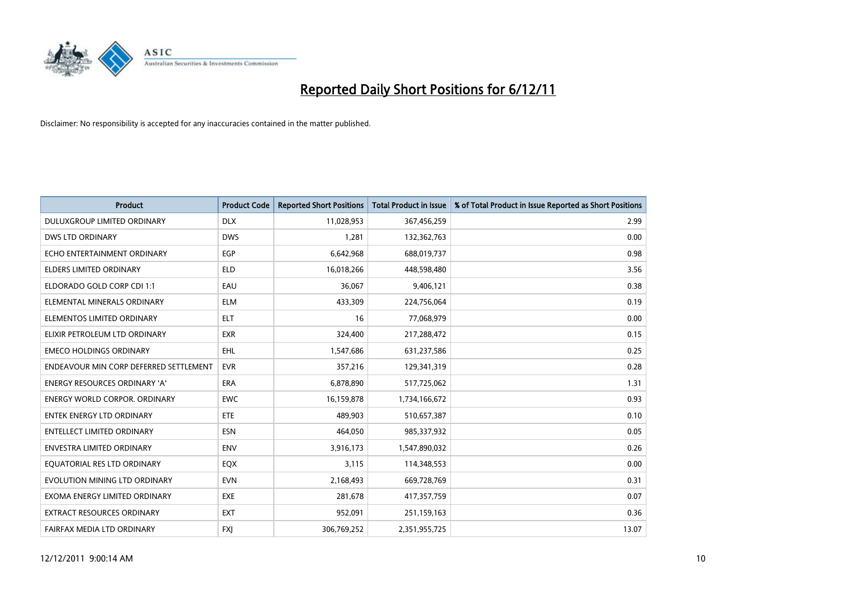

| <b>Product</b>                         | <b>Product Code</b> | <b>Reported Short Positions</b> | <b>Total Product in Issue</b> | % of Total Product in Issue Reported as Short Positions |
|----------------------------------------|---------------------|---------------------------------|-------------------------------|---------------------------------------------------------|
| DULUXGROUP LIMITED ORDINARY            | <b>DLX</b>          | 11,028,953                      | 367,456,259                   | 2.99                                                    |
| <b>DWS LTD ORDINARY</b>                | <b>DWS</b>          | 1,281                           | 132,362,763                   | 0.00                                                    |
| ECHO ENTERTAINMENT ORDINARY            | EGP                 | 6,642,968                       | 688,019,737                   | 0.98                                                    |
| ELDERS LIMITED ORDINARY                | <b>ELD</b>          | 16,018,266                      | 448,598,480                   | 3.56                                                    |
| ELDORADO GOLD CORP CDI 1:1             | EAU                 | 36,067                          | 9,406,121                     | 0.38                                                    |
| ELEMENTAL MINERALS ORDINARY            | <b>ELM</b>          | 433,309                         | 224,756,064                   | 0.19                                                    |
| ELEMENTOS LIMITED ORDINARY             | <b>ELT</b>          | 16                              | 77,068,979                    | 0.00                                                    |
| ELIXIR PETROLEUM LTD ORDINARY          | <b>EXR</b>          | 324,400                         | 217,288,472                   | 0.15                                                    |
| <b>EMECO HOLDINGS ORDINARY</b>         | <b>EHL</b>          | 1,547,686                       | 631,237,586                   | 0.25                                                    |
| ENDEAVOUR MIN CORP DEFERRED SETTLEMENT | <b>EVR</b>          | 357,216                         | 129,341,319                   | 0.28                                                    |
| ENERGY RESOURCES ORDINARY 'A'          | <b>ERA</b>          | 6,878,890                       | 517,725,062                   | 1.31                                                    |
| <b>ENERGY WORLD CORPOR, ORDINARY</b>   | <b>EWC</b>          | 16,159,878                      | 1,734,166,672                 | 0.93                                                    |
| <b>ENTEK ENERGY LTD ORDINARY</b>       | ETE                 | 489,903                         | 510,657,387                   | 0.10                                                    |
| <b>ENTELLECT LIMITED ORDINARY</b>      | <b>ESN</b>          | 464,050                         | 985,337,932                   | 0.05                                                    |
| <b>ENVESTRA LIMITED ORDINARY</b>       | <b>ENV</b>          | 3,916,173                       | 1,547,890,032                 | 0.26                                                    |
| EQUATORIAL RES LTD ORDINARY            | <b>EQX</b>          | 3,115                           | 114,348,553                   | 0.00                                                    |
| EVOLUTION MINING LTD ORDINARY          | <b>EVN</b>          | 2,168,493                       | 669,728,769                   | 0.31                                                    |
| EXOMA ENERGY LIMITED ORDINARY          | <b>EXE</b>          | 281,678                         | 417,357,759                   | 0.07                                                    |
| <b>EXTRACT RESOURCES ORDINARY</b>      | <b>EXT</b>          | 952,091                         | 251,159,163                   | 0.36                                                    |
| FAIRFAX MEDIA LTD ORDINARY             | <b>FXI</b>          | 306.769.252                     | 2,351,955,725                 | 13.07                                                   |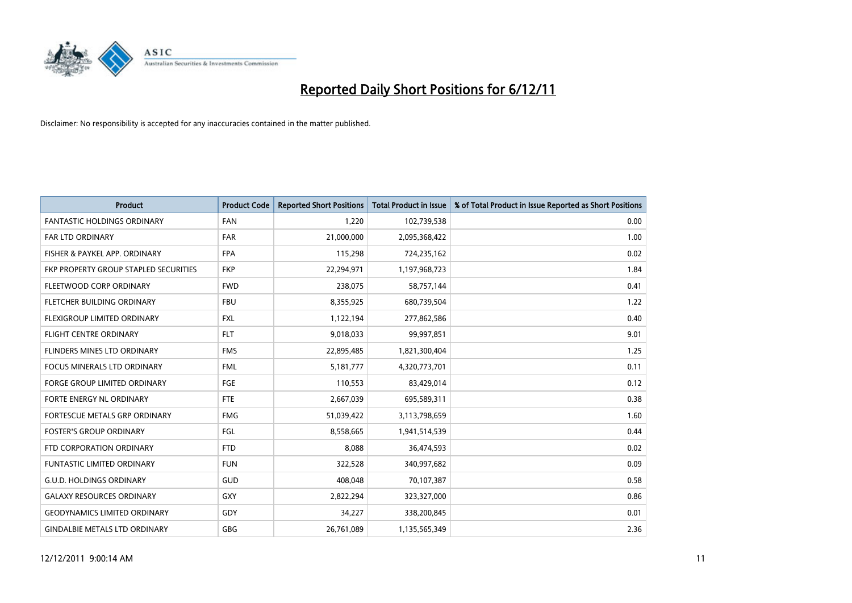

| <b>Product</b>                        | <b>Product Code</b> | <b>Reported Short Positions</b> | <b>Total Product in Issue</b> | % of Total Product in Issue Reported as Short Positions |
|---------------------------------------|---------------------|---------------------------------|-------------------------------|---------------------------------------------------------|
| <b>FANTASTIC HOLDINGS ORDINARY</b>    | <b>FAN</b>          | 1,220                           | 102,739,538                   | 0.00                                                    |
| FAR LTD ORDINARY                      | <b>FAR</b>          | 21,000,000                      | 2,095,368,422                 | 1.00                                                    |
| FISHER & PAYKEL APP. ORDINARY         | <b>FPA</b>          | 115,298                         | 724,235,162                   | 0.02                                                    |
| FKP PROPERTY GROUP STAPLED SECURITIES | <b>FKP</b>          | 22,294,971                      | 1,197,968,723                 | 1.84                                                    |
| FLEETWOOD CORP ORDINARY               | <b>FWD</b>          | 238,075                         | 58,757,144                    | 0.41                                                    |
| FLETCHER BUILDING ORDINARY            | <b>FBU</b>          | 8,355,925                       | 680,739,504                   | 1.22                                                    |
| <b>FLEXIGROUP LIMITED ORDINARY</b>    | <b>FXL</b>          | 1,122,194                       | 277,862,586                   | 0.40                                                    |
| FLIGHT CENTRE ORDINARY                | <b>FLT</b>          | 9,018,033                       | 99,997,851                    | 9.01                                                    |
| FLINDERS MINES LTD ORDINARY           | <b>FMS</b>          | 22,895,485                      | 1,821,300,404                 | 1.25                                                    |
| <b>FOCUS MINERALS LTD ORDINARY</b>    | <b>FML</b>          | 5,181,777                       | 4,320,773,701                 | 0.11                                                    |
| <b>FORGE GROUP LIMITED ORDINARY</b>   | FGE                 | 110,553                         | 83,429,014                    | 0.12                                                    |
| FORTE ENERGY NL ORDINARY              | <b>FTE</b>          | 2,667,039                       | 695,589,311                   | 0.38                                                    |
| <b>FORTESCUE METALS GRP ORDINARY</b>  | <b>FMG</b>          | 51,039,422                      | 3,113,798,659                 | 1.60                                                    |
| <b>FOSTER'S GROUP ORDINARY</b>        | FGL                 | 8,558,665                       | 1,941,514,539                 | 0.44                                                    |
| FTD CORPORATION ORDINARY              | <b>FTD</b>          | 8,088                           | 36,474,593                    | 0.02                                                    |
| <b>FUNTASTIC LIMITED ORDINARY</b>     | <b>FUN</b>          | 322,528                         | 340,997,682                   | 0.09                                                    |
| <b>G.U.D. HOLDINGS ORDINARY</b>       | GUD                 | 408,048                         | 70,107,387                    | 0.58                                                    |
| <b>GALAXY RESOURCES ORDINARY</b>      | GXY                 | 2,822,294                       | 323,327,000                   | 0.86                                                    |
| <b>GEODYNAMICS LIMITED ORDINARY</b>   | GDY                 | 34,227                          | 338,200,845                   | 0.01                                                    |
| <b>GINDALBIE METALS LTD ORDINARY</b>  | <b>GBG</b>          | 26,761,089                      | 1,135,565,349                 | 2.36                                                    |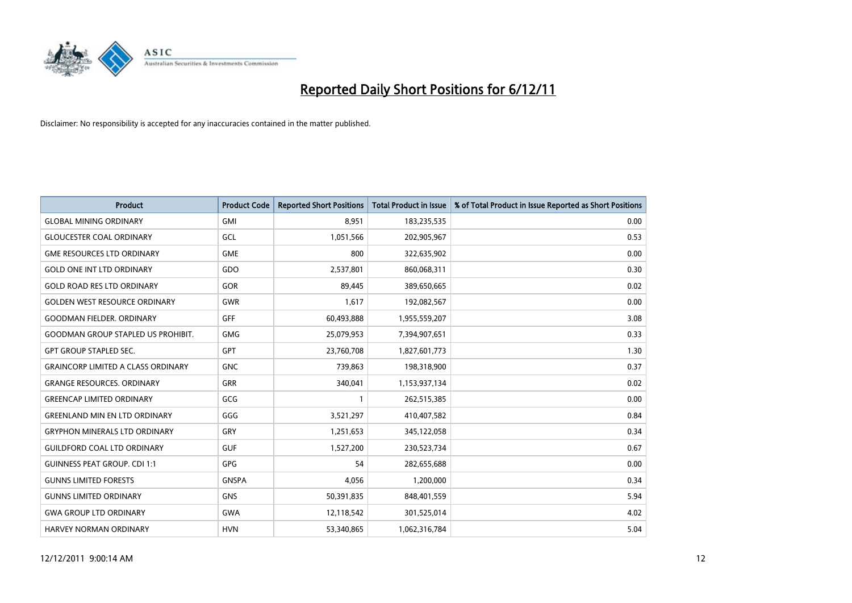

| <b>Product</b>                            | <b>Product Code</b> | <b>Reported Short Positions</b> | <b>Total Product in Issue</b> | % of Total Product in Issue Reported as Short Positions |
|-------------------------------------------|---------------------|---------------------------------|-------------------------------|---------------------------------------------------------|
| <b>GLOBAL MINING ORDINARY</b>             | GMI                 | 8,951                           | 183,235,535                   | 0.00                                                    |
| <b>GLOUCESTER COAL ORDINARY</b>           | GCL                 | 1,051,566                       | 202,905,967                   | 0.53                                                    |
| <b>GME RESOURCES LTD ORDINARY</b>         | <b>GME</b>          | 800                             | 322,635,902                   | 0.00                                                    |
| <b>GOLD ONE INT LTD ORDINARY</b>          | GDO                 | 2,537,801                       | 860,068,311                   | 0.30                                                    |
| <b>GOLD ROAD RES LTD ORDINARY</b>         | <b>GOR</b>          | 89,445                          | 389,650,665                   | 0.02                                                    |
| <b>GOLDEN WEST RESOURCE ORDINARY</b>      | <b>GWR</b>          | 1,617                           | 192,082,567                   | 0.00                                                    |
| <b>GOODMAN FIELDER. ORDINARY</b>          | <b>GFF</b>          | 60,493,888                      | 1,955,559,207                 | 3.08                                                    |
| <b>GOODMAN GROUP STAPLED US PROHIBIT.</b> | <b>GMG</b>          | 25,079,953                      | 7,394,907,651                 | 0.33                                                    |
| <b>GPT GROUP STAPLED SEC.</b>             | <b>GPT</b>          | 23,760,708                      | 1,827,601,773                 | 1.30                                                    |
| <b>GRAINCORP LIMITED A CLASS ORDINARY</b> | <b>GNC</b>          | 739,863                         | 198,318,900                   | 0.37                                                    |
| <b>GRANGE RESOURCES. ORDINARY</b>         | GRR                 | 340,041                         | 1,153,937,134                 | 0.02                                                    |
| <b>GREENCAP LIMITED ORDINARY</b>          | GCG                 |                                 | 262,515,385                   | 0.00                                                    |
| <b>GREENLAND MIN EN LTD ORDINARY</b>      | GGG                 | 3,521,297                       | 410,407,582                   | 0.84                                                    |
| <b>GRYPHON MINERALS LTD ORDINARY</b>      | GRY                 | 1,251,653                       | 345,122,058                   | 0.34                                                    |
| <b>GUILDFORD COAL LTD ORDINARY</b>        | <b>GUF</b>          | 1,527,200                       | 230,523,734                   | 0.67                                                    |
| <b>GUINNESS PEAT GROUP. CDI 1:1</b>       | <b>GPG</b>          | 54                              | 282,655,688                   | 0.00                                                    |
| <b>GUNNS LIMITED FORESTS</b>              | <b>GNSPA</b>        | 4,056                           | 1,200,000                     | 0.34                                                    |
| <b>GUNNS LIMITED ORDINARY</b>             | <b>GNS</b>          | 50,391,835                      | 848,401,559                   | 5.94                                                    |
| <b>GWA GROUP LTD ORDINARY</b>             | <b>GWA</b>          | 12,118,542                      | 301,525,014                   | 4.02                                                    |
| <b>HARVEY NORMAN ORDINARY</b>             | <b>HVN</b>          | 53,340,865                      | 1,062,316,784                 | 5.04                                                    |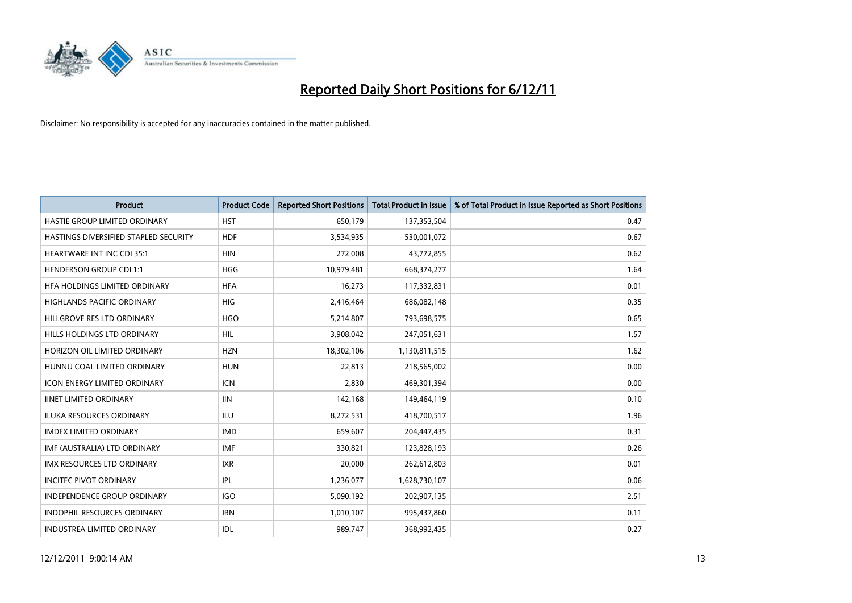

| <b>Product</b>                        | <b>Product Code</b> | <b>Reported Short Positions</b> | <b>Total Product in Issue</b> | % of Total Product in Issue Reported as Short Positions |
|---------------------------------------|---------------------|---------------------------------|-------------------------------|---------------------------------------------------------|
| HASTIE GROUP LIMITED ORDINARY         | <b>HST</b>          | 650,179                         | 137,353,504                   | 0.47                                                    |
| HASTINGS DIVERSIFIED STAPLED SECURITY | <b>HDF</b>          | 3,534,935                       | 530,001,072                   | 0.67                                                    |
| <b>HEARTWARE INT INC CDI 35:1</b>     | <b>HIN</b>          | 272,008                         | 43,772,855                    | 0.62                                                    |
| <b>HENDERSON GROUP CDI 1:1</b>        | <b>HGG</b>          | 10,979,481                      | 668,374,277                   | 1.64                                                    |
| HFA HOLDINGS LIMITED ORDINARY         | <b>HFA</b>          | 16,273                          | 117,332,831                   | 0.01                                                    |
| <b>HIGHLANDS PACIFIC ORDINARY</b>     | <b>HIG</b>          | 2,416,464                       | 686,082,148                   | 0.35                                                    |
| HILLGROVE RES LTD ORDINARY            | <b>HGO</b>          | 5,214,807                       | 793,698,575                   | 0.65                                                    |
| HILLS HOLDINGS LTD ORDINARY           | <b>HIL</b>          | 3,908,042                       | 247,051,631                   | 1.57                                                    |
| HORIZON OIL LIMITED ORDINARY          | <b>HZN</b>          | 18,302,106                      | 1,130,811,515                 | 1.62                                                    |
| HUNNU COAL LIMITED ORDINARY           | <b>HUN</b>          | 22,813                          | 218,565,002                   | 0.00                                                    |
| <b>ICON ENERGY LIMITED ORDINARY</b>   | <b>ICN</b>          | 2,830                           | 469,301,394                   | 0.00                                                    |
| <b>IINET LIMITED ORDINARY</b>         | <b>IIN</b>          | 142,168                         | 149,464,119                   | 0.10                                                    |
| ILUKA RESOURCES ORDINARY              | ILU                 | 8,272,531                       | 418,700,517                   | 1.96                                                    |
| <b>IMDEX LIMITED ORDINARY</b>         | <b>IMD</b>          | 659,607                         | 204,447,435                   | 0.31                                                    |
| IMF (AUSTRALIA) LTD ORDINARY          | <b>IMF</b>          | 330,821                         | 123,828,193                   | 0.26                                                    |
| IMX RESOURCES LTD ORDINARY            | <b>IXR</b>          | 20,000                          | 262,612,803                   | 0.01                                                    |
| <b>INCITEC PIVOT ORDINARY</b>         | <b>IPL</b>          | 1,236,077                       | 1,628,730,107                 | 0.06                                                    |
| INDEPENDENCE GROUP ORDINARY           | <b>IGO</b>          | 5,090,192                       | 202,907,135                   | 2.51                                                    |
| <b>INDOPHIL RESOURCES ORDINARY</b>    | <b>IRN</b>          | 1,010,107                       | 995,437,860                   | 0.11                                                    |
| <b>INDUSTREA LIMITED ORDINARY</b>     | IDL                 | 989.747                         | 368.992.435                   | 0.27                                                    |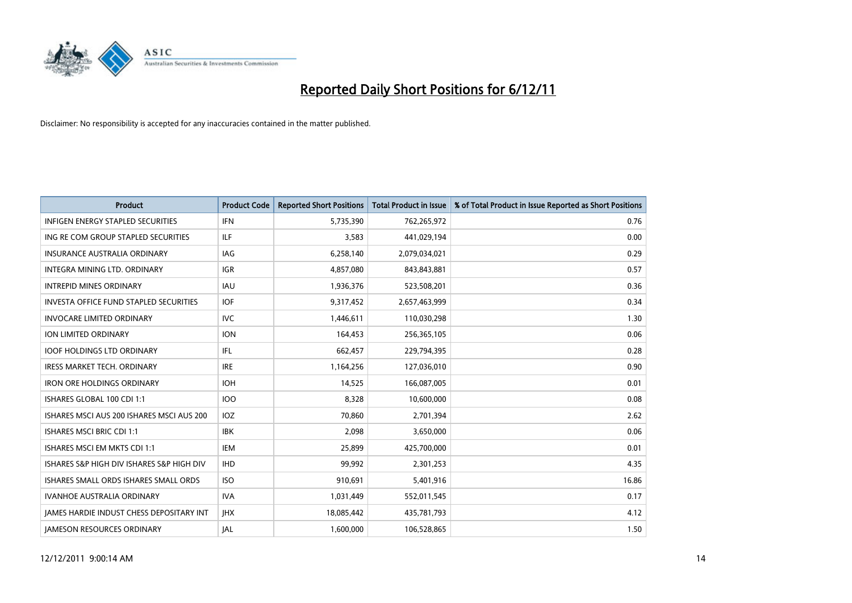

| <b>Product</b>                                  | <b>Product Code</b> | <b>Reported Short Positions</b> | <b>Total Product in Issue</b> | % of Total Product in Issue Reported as Short Positions |
|-------------------------------------------------|---------------------|---------------------------------|-------------------------------|---------------------------------------------------------|
| <b>INFIGEN ENERGY STAPLED SECURITIES</b>        | <b>IFN</b>          | 5,735,390                       | 762,265,972                   | 0.76                                                    |
| ING RE COM GROUP STAPLED SECURITIES             | <b>ILF</b>          | 3,583                           | 441,029,194                   | 0.00                                                    |
| <b>INSURANCE AUSTRALIA ORDINARY</b>             | IAG                 | 6,258,140                       | 2,079,034,021                 | 0.29                                                    |
| INTEGRA MINING LTD. ORDINARY                    | <b>IGR</b>          | 4,857,080                       | 843,843,881                   | 0.57                                                    |
| <b>INTREPID MINES ORDINARY</b>                  | <b>IAU</b>          | 1,936,376                       | 523,508,201                   | 0.36                                                    |
| <b>INVESTA OFFICE FUND STAPLED SECURITIES</b>   | <b>IOF</b>          | 9,317,452                       | 2,657,463,999                 | 0.34                                                    |
| <b>INVOCARE LIMITED ORDINARY</b>                | <b>IVC</b>          | 1,446,611                       | 110,030,298                   | 1.30                                                    |
| ION LIMITED ORDINARY                            | <b>ION</b>          | 164,453                         | 256,365,105                   | 0.06                                                    |
| <b>IOOF HOLDINGS LTD ORDINARY</b>               | IFL.                | 662,457                         | 229,794,395                   | 0.28                                                    |
| <b>IRESS MARKET TECH. ORDINARY</b>              | <b>IRE</b>          | 1,164,256                       | 127,036,010                   | 0.90                                                    |
| <b>IRON ORE HOLDINGS ORDINARY</b>               | <b>IOH</b>          | 14,525                          | 166,087,005                   | 0.01                                                    |
| ISHARES GLOBAL 100 CDI 1:1                      | 100                 | 8,328                           | 10,600,000                    | 0.08                                                    |
| ISHARES MSCI AUS 200 ISHARES MSCI AUS 200       | <b>IOZ</b>          | 70,860                          | 2,701,394                     | 2.62                                                    |
| <b>ISHARES MSCI BRIC CDI 1:1</b>                | <b>IBK</b>          | 2,098                           | 3,650,000                     | 0.06                                                    |
| ISHARES MSCI EM MKTS CDI 1:1                    | <b>IEM</b>          | 25,899                          | 425,700,000                   | 0.01                                                    |
| ISHARES S&P HIGH DIV ISHARES S&P HIGH DIV       | <b>IHD</b>          | 99,992                          | 2,301,253                     | 4.35                                                    |
| ISHARES SMALL ORDS ISHARES SMALL ORDS           | <b>ISO</b>          | 910,691                         | 5,401,916                     | 16.86                                                   |
| <b>IVANHOE AUSTRALIA ORDINARY</b>               | <b>IVA</b>          | 1,031,449                       | 552,011,545                   | 0.17                                                    |
| <b>IAMES HARDIE INDUST CHESS DEPOSITARY INT</b> | <b>IHX</b>          | 18,085,442                      | 435,781,793                   | 4.12                                                    |
| <b>IAMESON RESOURCES ORDINARY</b>               | <b>IAL</b>          | 1.600.000                       | 106,528,865                   | 1.50                                                    |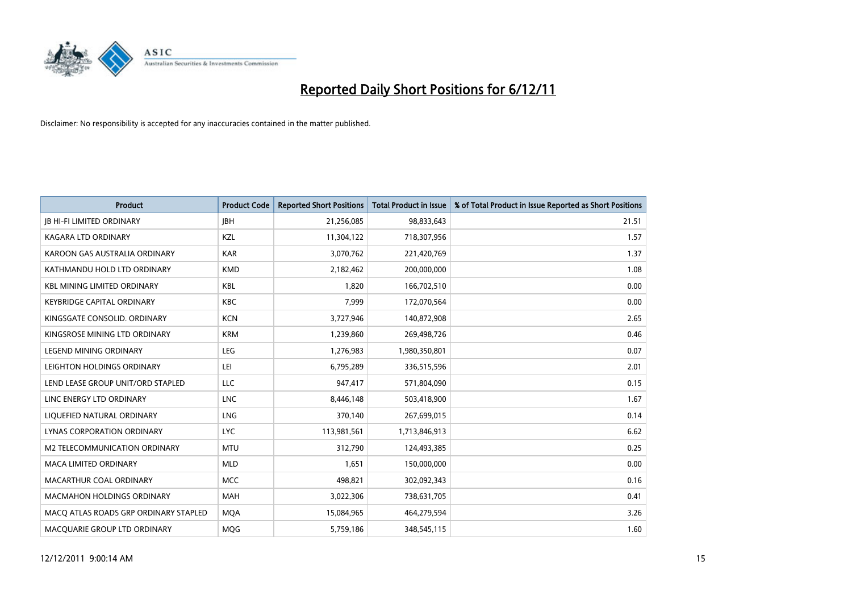

| <b>Product</b>                        | <b>Product Code</b> | <b>Reported Short Positions</b> | <b>Total Product in Issue</b> | % of Total Product in Issue Reported as Short Positions |
|---------------------------------------|---------------------|---------------------------------|-------------------------------|---------------------------------------------------------|
| <b>JB HI-FI LIMITED ORDINARY</b>      | <b>IBH</b>          | 21,256,085                      | 98,833,643                    | 21.51                                                   |
| KAGARA LTD ORDINARY                   | <b>KZL</b>          | 11,304,122                      | 718,307,956                   | 1.57                                                    |
| KAROON GAS AUSTRALIA ORDINARY         | <b>KAR</b>          | 3,070,762                       | 221,420,769                   | 1.37                                                    |
| KATHMANDU HOLD LTD ORDINARY           | <b>KMD</b>          | 2,182,462                       | 200,000,000                   | 1.08                                                    |
| <b>KBL MINING LIMITED ORDINARY</b>    | <b>KBL</b>          | 1,820                           | 166,702,510                   | 0.00                                                    |
| <b>KEYBRIDGE CAPITAL ORDINARY</b>     | KBC                 | 7,999                           | 172,070,564                   | 0.00                                                    |
| KINGSGATE CONSOLID. ORDINARY          | <b>KCN</b>          | 3,727,946                       | 140,872,908                   | 2.65                                                    |
| KINGSROSE MINING LTD ORDINARY         | <b>KRM</b>          | 1,239,860                       | 269,498,726                   | 0.46                                                    |
| <b>LEGEND MINING ORDINARY</b>         | <b>LEG</b>          | 1,276,983                       | 1,980,350,801                 | 0.07                                                    |
| LEIGHTON HOLDINGS ORDINARY            | LEI                 | 6,795,289                       | 336,515,596                   | 2.01                                                    |
| LEND LEASE GROUP UNIT/ORD STAPLED     | LLC                 | 947,417                         | 571,804,090                   | 0.15                                                    |
| LINC ENERGY LTD ORDINARY              | <b>LNC</b>          | 8,446,148                       | 503,418,900                   | 1.67                                                    |
| LIQUEFIED NATURAL ORDINARY            | <b>LNG</b>          | 370,140                         | 267,699,015                   | 0.14                                                    |
| LYNAS CORPORATION ORDINARY            | <b>LYC</b>          | 113,981,561                     | 1,713,846,913                 | 6.62                                                    |
| <b>M2 TELECOMMUNICATION ORDINARY</b>  | <b>MTU</b>          | 312,790                         | 124,493,385                   | 0.25                                                    |
| <b>MACA LIMITED ORDINARY</b>          | <b>MLD</b>          | 1,651                           | 150,000,000                   | 0.00                                                    |
| MACARTHUR COAL ORDINARY               | <b>MCC</b>          | 498,821                         | 302,092,343                   | 0.16                                                    |
| MACMAHON HOLDINGS ORDINARY            | MAH                 | 3,022,306                       | 738,631,705                   | 0.41                                                    |
| MACQ ATLAS ROADS GRP ORDINARY STAPLED | <b>MOA</b>          | 15,084,965                      | 464,279,594                   | 3.26                                                    |
| MACQUARIE GROUP LTD ORDINARY          | MQG                 | 5,759,186                       | 348,545,115                   | 1.60                                                    |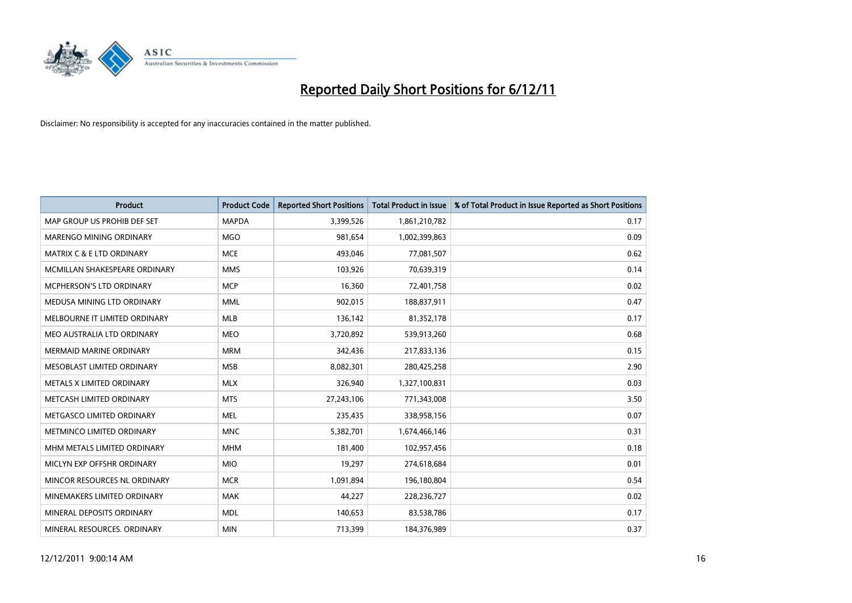

| <b>Product</b>                       | <b>Product Code</b> | <b>Reported Short Positions</b> | <b>Total Product in Issue</b> | % of Total Product in Issue Reported as Short Positions |
|--------------------------------------|---------------------|---------------------------------|-------------------------------|---------------------------------------------------------|
| MAP GROUP US PROHIB DEF SET          | <b>MAPDA</b>        | 3,399,526                       | 1,861,210,782                 | 0.17                                                    |
| MARENGO MINING ORDINARY              | <b>MGO</b>          | 981,654                         | 1,002,399,863                 | 0.09                                                    |
| <b>MATRIX C &amp; E LTD ORDINARY</b> | <b>MCE</b>          | 493,046                         | 77,081,507                    | 0.62                                                    |
| MCMILLAN SHAKESPEARE ORDINARY        | <b>MMS</b>          | 103,926                         | 70,639,319                    | 0.14                                                    |
| <b>MCPHERSON'S LTD ORDINARY</b>      | <b>MCP</b>          | 16,360                          | 72,401,758                    | 0.02                                                    |
| MEDUSA MINING LTD ORDINARY           | <b>MML</b>          | 902,015                         | 188,837,911                   | 0.47                                                    |
| MELBOURNE IT LIMITED ORDINARY        | <b>MLB</b>          | 136,142                         | 81,352,178                    | 0.17                                                    |
| MEO AUSTRALIA LTD ORDINARY           | <b>MEO</b>          | 3,720,892                       | 539,913,260                   | 0.68                                                    |
| MERMAID MARINE ORDINARY              | <b>MRM</b>          | 342,436                         | 217,833,136                   | 0.15                                                    |
| MESOBLAST LIMITED ORDINARY           | <b>MSB</b>          | 8,082,301                       | 280,425,258                   | 2.90                                                    |
| METALS X LIMITED ORDINARY            | <b>MLX</b>          | 326,940                         | 1,327,100,831                 | 0.03                                                    |
| METCASH LIMITED ORDINARY             | <b>MTS</b>          | 27,243,106                      | 771,343,008                   | 3.50                                                    |
| METGASCO LIMITED ORDINARY            | <b>MEL</b>          | 235,435                         | 338,958,156                   | 0.07                                                    |
| METMINCO LIMITED ORDINARY            | <b>MNC</b>          | 5,382,701                       | 1,674,466,146                 | 0.31                                                    |
| MHM METALS LIMITED ORDINARY          | <b>MHM</b>          | 181,400                         | 102,957,456                   | 0.18                                                    |
| MICLYN EXP OFFSHR ORDINARY           | <b>MIO</b>          | 19,297                          | 274,618,684                   | 0.01                                                    |
| MINCOR RESOURCES NL ORDINARY         | <b>MCR</b>          | 1,091,894                       | 196,180,804                   | 0.54                                                    |
| MINEMAKERS LIMITED ORDINARY          | <b>MAK</b>          | 44,227                          | 228,236,727                   | 0.02                                                    |
| MINERAL DEPOSITS ORDINARY            | <b>MDL</b>          | 140,653                         | 83,538,786                    | 0.17                                                    |
| MINERAL RESOURCES. ORDINARY          | <b>MIN</b>          | 713,399                         | 184,376,989                   | 0.37                                                    |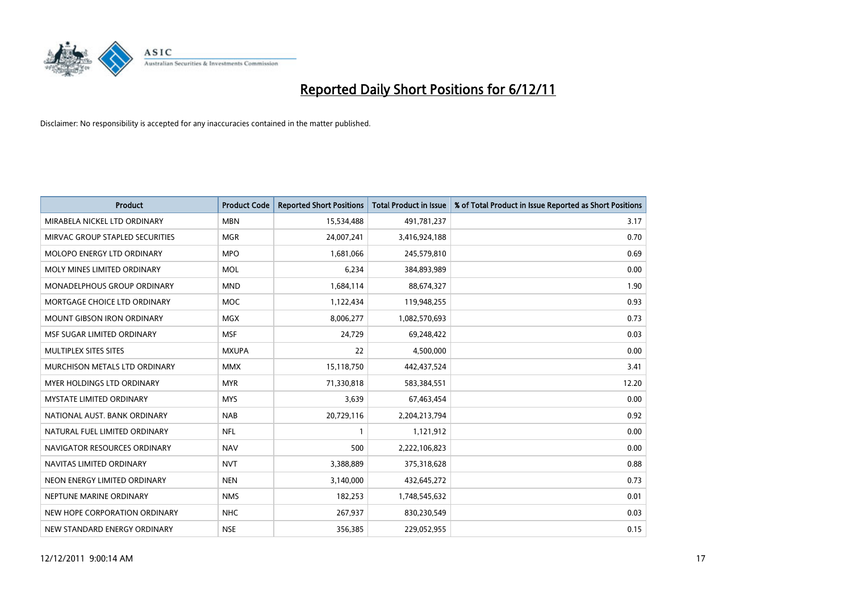

| <b>Product</b>                     | <b>Product Code</b> | <b>Reported Short Positions</b> | <b>Total Product in Issue</b> | % of Total Product in Issue Reported as Short Positions |
|------------------------------------|---------------------|---------------------------------|-------------------------------|---------------------------------------------------------|
| MIRABELA NICKEL LTD ORDINARY       | <b>MBN</b>          | 15,534,488                      | 491,781,237                   | 3.17                                                    |
| MIRVAC GROUP STAPLED SECURITIES    | <b>MGR</b>          | 24,007,241                      | 3,416,924,188                 | 0.70                                                    |
| <b>MOLOPO ENERGY LTD ORDINARY</b>  | <b>MPO</b>          | 1,681,066                       | 245,579,810                   | 0.69                                                    |
| MOLY MINES LIMITED ORDINARY        | <b>MOL</b>          | 6,234                           | 384,893,989                   | 0.00                                                    |
| <b>MONADELPHOUS GROUP ORDINARY</b> | <b>MND</b>          | 1,684,114                       | 88,674,327                    | 1.90                                                    |
| MORTGAGE CHOICE LTD ORDINARY       | <b>MOC</b>          | 1,122,434                       | 119,948,255                   | 0.93                                                    |
| <b>MOUNT GIBSON IRON ORDINARY</b>  | <b>MGX</b>          | 8.006.277                       | 1,082,570,693                 | 0.73                                                    |
| MSF SUGAR LIMITED ORDINARY         | <b>MSF</b>          | 24,729                          | 69,248,422                    | 0.03                                                    |
| MULTIPLEX SITES SITES              | <b>MXUPA</b>        | 22                              | 4,500,000                     | 0.00                                                    |
| MURCHISON METALS LTD ORDINARY      | <b>MMX</b>          | 15,118,750                      | 442,437,524                   | 3.41                                                    |
| <b>MYER HOLDINGS LTD ORDINARY</b>  | <b>MYR</b>          | 71,330,818                      | 583,384,551                   | 12.20                                                   |
| <b>MYSTATE LIMITED ORDINARY</b>    | <b>MYS</b>          | 3,639                           | 67,463,454                    | 0.00                                                    |
| NATIONAL AUST. BANK ORDINARY       | <b>NAB</b>          | 20,729,116                      | 2,204,213,794                 | 0.92                                                    |
| NATURAL FUEL LIMITED ORDINARY      | <b>NFL</b>          |                                 | 1,121,912                     | 0.00                                                    |
| NAVIGATOR RESOURCES ORDINARY       | <b>NAV</b>          | 500                             | 2,222,106,823                 | 0.00                                                    |
| NAVITAS LIMITED ORDINARY           | <b>NVT</b>          | 3,388,889                       | 375,318,628                   | 0.88                                                    |
| NEON ENERGY LIMITED ORDINARY       | <b>NEN</b>          | 3,140,000                       | 432,645,272                   | 0.73                                                    |
| NEPTUNE MARINE ORDINARY            | <b>NMS</b>          | 182,253                         | 1,748,545,632                 | 0.01                                                    |
| NEW HOPE CORPORATION ORDINARY      | <b>NHC</b>          | 267,937                         | 830,230,549                   | 0.03                                                    |
| NEW STANDARD ENERGY ORDINARY       | <b>NSE</b>          | 356,385                         | 229,052,955                   | 0.15                                                    |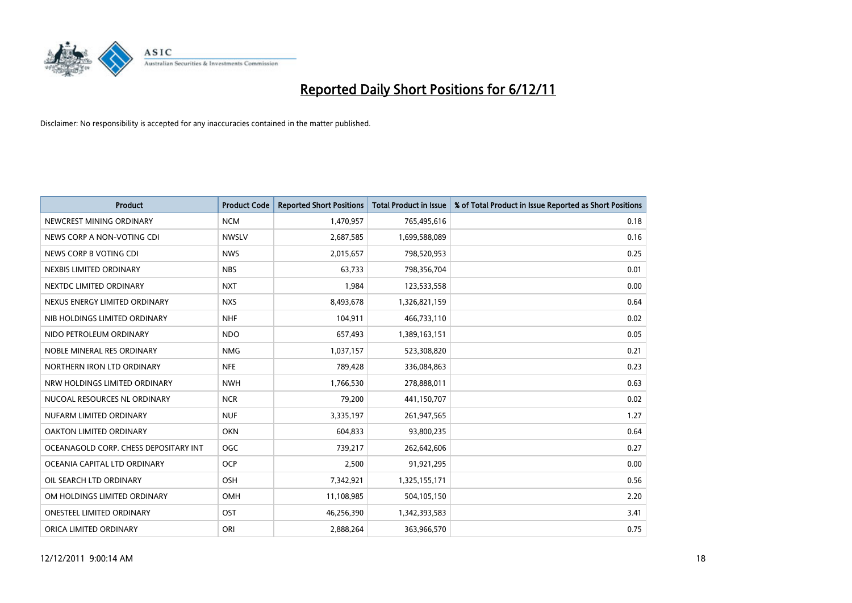

| <b>Product</b>                        | <b>Product Code</b> | <b>Reported Short Positions</b> | <b>Total Product in Issue</b> | % of Total Product in Issue Reported as Short Positions |
|---------------------------------------|---------------------|---------------------------------|-------------------------------|---------------------------------------------------------|
| NEWCREST MINING ORDINARY              | <b>NCM</b>          | 1,470,957                       | 765,495,616                   | 0.18                                                    |
| NEWS CORP A NON-VOTING CDI            | <b>NWSLV</b>        | 2,687,585                       | 1,699,588,089                 | 0.16                                                    |
| NEWS CORP B VOTING CDI                | <b>NWS</b>          | 2,015,657                       | 798,520,953                   | 0.25                                                    |
| NEXBIS LIMITED ORDINARY               | <b>NBS</b>          | 63,733                          | 798,356,704                   | 0.01                                                    |
| NEXTDC LIMITED ORDINARY               | <b>NXT</b>          | 1,984                           | 123,533,558                   | 0.00                                                    |
| NEXUS ENERGY LIMITED ORDINARY         | <b>NXS</b>          | 8,493,678                       | 1,326,821,159                 | 0.64                                                    |
| NIB HOLDINGS LIMITED ORDINARY         | <b>NHF</b>          | 104,911                         | 466,733,110                   | 0.02                                                    |
| NIDO PETROLEUM ORDINARY               | <b>NDO</b>          | 657,493                         | 1,389,163,151                 | 0.05                                                    |
| NOBLE MINERAL RES ORDINARY            | <b>NMG</b>          | 1,037,157                       | 523,308,820                   | 0.21                                                    |
| NORTHERN IRON LTD ORDINARY            | <b>NFE</b>          | 789,428                         | 336,084,863                   | 0.23                                                    |
| NRW HOLDINGS LIMITED ORDINARY         | <b>NWH</b>          | 1,766,530                       | 278,888,011                   | 0.63                                                    |
| NUCOAL RESOURCES NL ORDINARY          | <b>NCR</b>          | 79,200                          | 441,150,707                   | 0.02                                                    |
| NUFARM LIMITED ORDINARY               | <b>NUF</b>          | 3,335,197                       | 261,947,565                   | 1.27                                                    |
| OAKTON LIMITED ORDINARY               | <b>OKN</b>          | 604.833                         | 93,800,235                    | 0.64                                                    |
| OCEANAGOLD CORP. CHESS DEPOSITARY INT | <b>OGC</b>          | 739,217                         | 262,642,606                   | 0.27                                                    |
| OCEANIA CAPITAL LTD ORDINARY          | <b>OCP</b>          | 2,500                           | 91,921,295                    | 0.00                                                    |
| OIL SEARCH LTD ORDINARY               | <b>OSH</b>          | 7,342,921                       | 1,325,155,171                 | 0.56                                                    |
| OM HOLDINGS LIMITED ORDINARY          | <b>OMH</b>          | 11,108,985                      | 504,105,150                   | 2.20                                                    |
| <b>ONESTEEL LIMITED ORDINARY</b>      | OST                 | 46,256,390                      | 1,342,393,583                 | 3.41                                                    |
| ORICA LIMITED ORDINARY                | ORI                 | 2,888,264                       | 363,966,570                   | 0.75                                                    |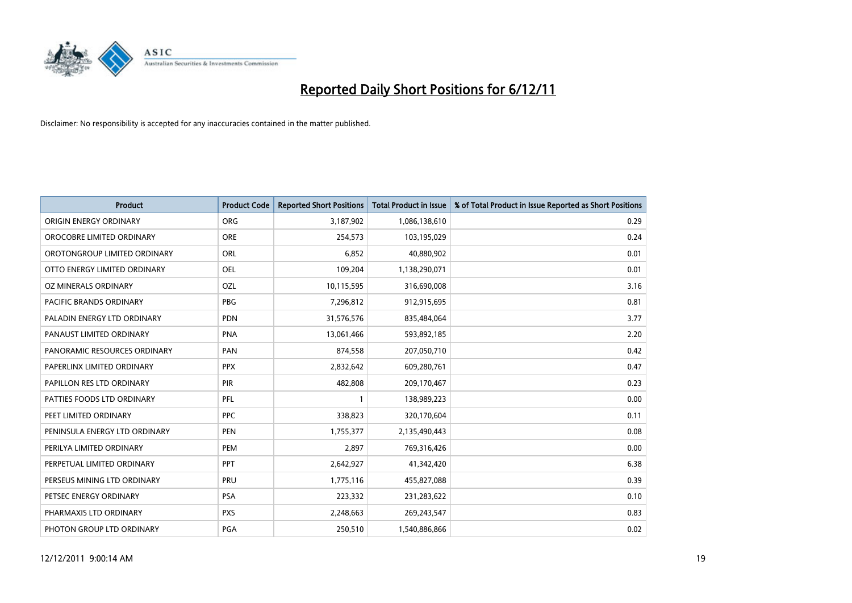

| <b>Product</b>                 | <b>Product Code</b> | <b>Reported Short Positions</b> | <b>Total Product in Issue</b> | % of Total Product in Issue Reported as Short Positions |
|--------------------------------|---------------------|---------------------------------|-------------------------------|---------------------------------------------------------|
| ORIGIN ENERGY ORDINARY         | <b>ORG</b>          | 3,187,902                       | 1,086,138,610                 | 0.29                                                    |
| OROCOBRE LIMITED ORDINARY      | <b>ORE</b>          | 254,573                         | 103,195,029                   | 0.24                                                    |
| OROTONGROUP LIMITED ORDINARY   | ORL                 | 6,852                           | 40,880,902                    | 0.01                                                    |
| OTTO ENERGY LIMITED ORDINARY   | <b>OEL</b>          | 109,204                         | 1,138,290,071                 | 0.01                                                    |
| OZ MINERALS ORDINARY           | OZL                 | 10,115,595                      | 316,690,008                   | 3.16                                                    |
| <b>PACIFIC BRANDS ORDINARY</b> | <b>PBG</b>          | 7,296,812                       | 912,915,695                   | 0.81                                                    |
| PALADIN ENERGY LTD ORDINARY    | <b>PDN</b>          | 31,576,576                      | 835,484,064                   | 3.77                                                    |
| PANAUST LIMITED ORDINARY       | <b>PNA</b>          | 13,061,466                      | 593,892,185                   | 2.20                                                    |
| PANORAMIC RESOURCES ORDINARY   | PAN                 | 874,558                         | 207,050,710                   | 0.42                                                    |
| PAPERLINX LIMITED ORDINARY     | <b>PPX</b>          | 2,832,642                       | 609,280,761                   | 0.47                                                    |
| PAPILLON RES LTD ORDINARY      | PIR                 | 482,808                         | 209,170,467                   | 0.23                                                    |
| PATTIES FOODS LTD ORDINARY     | PFL                 |                                 | 138,989,223                   | 0.00                                                    |
| PEET LIMITED ORDINARY          | PPC                 | 338,823                         | 320,170,604                   | 0.11                                                    |
| PENINSULA ENERGY LTD ORDINARY  | <b>PEN</b>          | 1,755,377                       | 2,135,490,443                 | 0.08                                                    |
| PERILYA LIMITED ORDINARY       | PEM                 | 2,897                           | 769,316,426                   | 0.00                                                    |
| PERPETUAL LIMITED ORDINARY     | PPT                 | 2,642,927                       | 41,342,420                    | 6.38                                                    |
| PERSEUS MINING LTD ORDINARY    | PRU                 | 1,775,116                       | 455,827,088                   | 0.39                                                    |
| PETSEC ENERGY ORDINARY         | <b>PSA</b>          | 223,332                         | 231,283,622                   | 0.10                                                    |
| PHARMAXIS LTD ORDINARY         | <b>PXS</b>          | 2,248,663                       | 269,243,547                   | 0.83                                                    |
| PHOTON GROUP LTD ORDINARY      | <b>PGA</b>          | 250,510                         | 1,540,886,866                 | 0.02                                                    |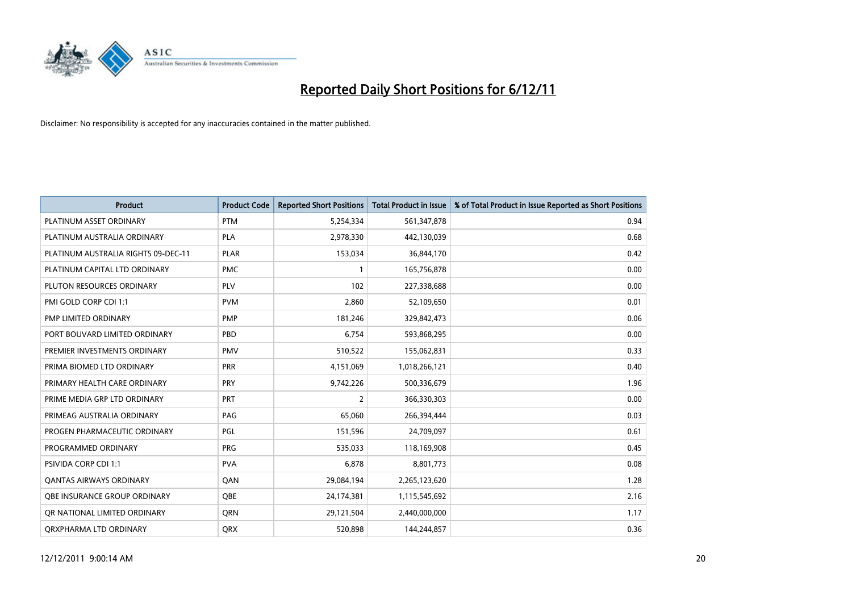

| <b>Product</b>                      | <b>Product Code</b> | <b>Reported Short Positions</b> | <b>Total Product in Issue</b> | % of Total Product in Issue Reported as Short Positions |
|-------------------------------------|---------------------|---------------------------------|-------------------------------|---------------------------------------------------------|
| PLATINUM ASSET ORDINARY             | <b>PTM</b>          | 5,254,334                       | 561,347,878                   | 0.94                                                    |
| PLATINUM AUSTRALIA ORDINARY         | <b>PLA</b>          | 2,978,330                       | 442,130,039                   | 0.68                                                    |
| PLATINUM AUSTRALIA RIGHTS 09-DEC-11 | <b>PLAR</b>         | 153,034                         | 36,844,170                    | 0.42                                                    |
| PLATINUM CAPITAL LTD ORDINARY       | <b>PMC</b>          |                                 | 165,756,878                   | 0.00                                                    |
| PLUTON RESOURCES ORDINARY           | PLV                 | 102                             | 227,338,688                   | 0.00                                                    |
| PMI GOLD CORP CDI 1:1               | <b>PVM</b>          | 2,860                           | 52,109,650                    | 0.01                                                    |
| <b>PMP LIMITED ORDINARY</b>         | <b>PMP</b>          | 181.246                         | 329,842,473                   | 0.06                                                    |
| PORT BOUVARD LIMITED ORDINARY       | PBD                 | 6,754                           | 593,868,295                   | 0.00                                                    |
| PREMIER INVESTMENTS ORDINARY        | <b>PMV</b>          | 510,522                         | 155,062,831                   | 0.33                                                    |
| PRIMA BIOMED LTD ORDINARY           | <b>PRR</b>          | 4,151,069                       | 1,018,266,121                 | 0.40                                                    |
| PRIMARY HEALTH CARE ORDINARY        | <b>PRY</b>          | 9,742,226                       | 500,336,679                   | 1.96                                                    |
| PRIME MEDIA GRP LTD ORDINARY        | <b>PRT</b>          | $\overline{2}$                  | 366,330,303                   | 0.00                                                    |
| PRIMEAG AUSTRALIA ORDINARY          | PAG                 | 65,060                          | 266.394.444                   | 0.03                                                    |
| PROGEN PHARMACEUTIC ORDINARY        | <b>PGL</b>          | 151,596                         | 24,709,097                    | 0.61                                                    |
| PROGRAMMED ORDINARY                 | <b>PRG</b>          | 535,033                         | 118,169,908                   | 0.45                                                    |
| <b>PSIVIDA CORP CDI 1:1</b>         | <b>PVA</b>          | 6,878                           | 8,801,773                     | 0.08                                                    |
| <b>QANTAS AIRWAYS ORDINARY</b>      | QAN                 | 29,084,194                      | 2,265,123,620                 | 1.28                                                    |
| <b>OBE INSURANCE GROUP ORDINARY</b> | <b>OBE</b>          | 24,174,381                      | 1,115,545,692                 | 2.16                                                    |
| OR NATIONAL LIMITED ORDINARY        | <b>ORN</b>          | 29,121,504                      | 2,440,000,000                 | 1.17                                                    |
| ORXPHARMA LTD ORDINARY              | <b>QRX</b>          | 520.898                         | 144,244,857                   | 0.36                                                    |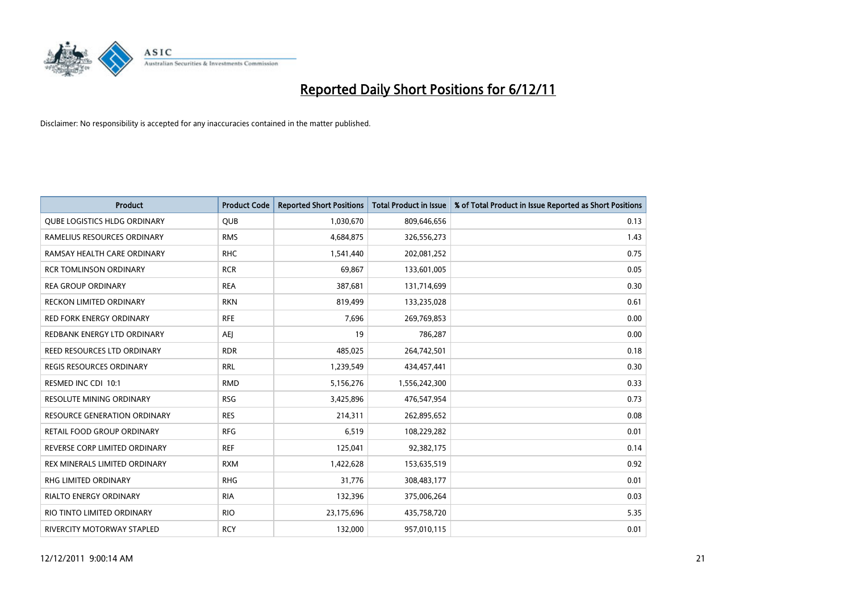

| <b>Product</b>                      | <b>Product Code</b> | <b>Reported Short Positions</b> | <b>Total Product in Issue</b> | % of Total Product in Issue Reported as Short Positions |
|-------------------------------------|---------------------|---------------------------------|-------------------------------|---------------------------------------------------------|
| <b>QUBE LOGISTICS HLDG ORDINARY</b> | <b>QUB</b>          | 1,030,670                       | 809,646,656                   | 0.13                                                    |
| RAMELIUS RESOURCES ORDINARY         | <b>RMS</b>          | 4,684,875                       | 326,556,273                   | 1.43                                                    |
| RAMSAY HEALTH CARE ORDINARY         | <b>RHC</b>          | 1,541,440                       | 202,081,252                   | 0.75                                                    |
| <b>RCR TOMLINSON ORDINARY</b>       | <b>RCR</b>          | 69,867                          | 133,601,005                   | 0.05                                                    |
| <b>REA GROUP ORDINARY</b>           | <b>REA</b>          | 387,681                         | 131,714,699                   | 0.30                                                    |
| <b>RECKON LIMITED ORDINARY</b>      | <b>RKN</b>          | 819,499                         | 133,235,028                   | 0.61                                                    |
| <b>RED FORK ENERGY ORDINARY</b>     | <b>RFE</b>          | 7.696                           | 269,769,853                   | 0.00                                                    |
| REDBANK ENERGY LTD ORDINARY         | AEJ                 | 19                              | 786,287                       | 0.00                                                    |
| REED RESOURCES LTD ORDINARY         | <b>RDR</b>          | 485,025                         | 264,742,501                   | 0.18                                                    |
| <b>REGIS RESOURCES ORDINARY</b>     | <b>RRL</b>          | 1,239,549                       | 434,457,441                   | 0.30                                                    |
| RESMED INC CDI 10:1                 | <b>RMD</b>          | 5,156,276                       | 1,556,242,300                 | 0.33                                                    |
| <b>RESOLUTE MINING ORDINARY</b>     | <b>RSG</b>          | 3,425,896                       | 476,547,954                   | 0.73                                                    |
| <b>RESOURCE GENERATION ORDINARY</b> | <b>RES</b>          | 214,311                         | 262,895,652                   | 0.08                                                    |
| RETAIL FOOD GROUP ORDINARY          | <b>RFG</b>          | 6.519                           | 108,229,282                   | 0.01                                                    |
| REVERSE CORP LIMITED ORDINARY       | <b>REF</b>          | 125,041                         | 92,382,175                    | 0.14                                                    |
| REX MINERALS LIMITED ORDINARY       | <b>RXM</b>          | 1,422,628                       | 153,635,519                   | 0.92                                                    |
| <b>RHG LIMITED ORDINARY</b>         | <b>RHG</b>          | 31,776                          | 308,483,177                   | 0.01                                                    |
| RIALTO ENERGY ORDINARY              | <b>RIA</b>          | 132,396                         | 375,006,264                   | 0.03                                                    |
| RIO TINTO LIMITED ORDINARY          | <b>RIO</b>          | 23,175,696                      | 435,758,720                   | 5.35                                                    |
| RIVERCITY MOTORWAY STAPLED          | <b>RCY</b>          | 132.000                         | 957,010,115                   | 0.01                                                    |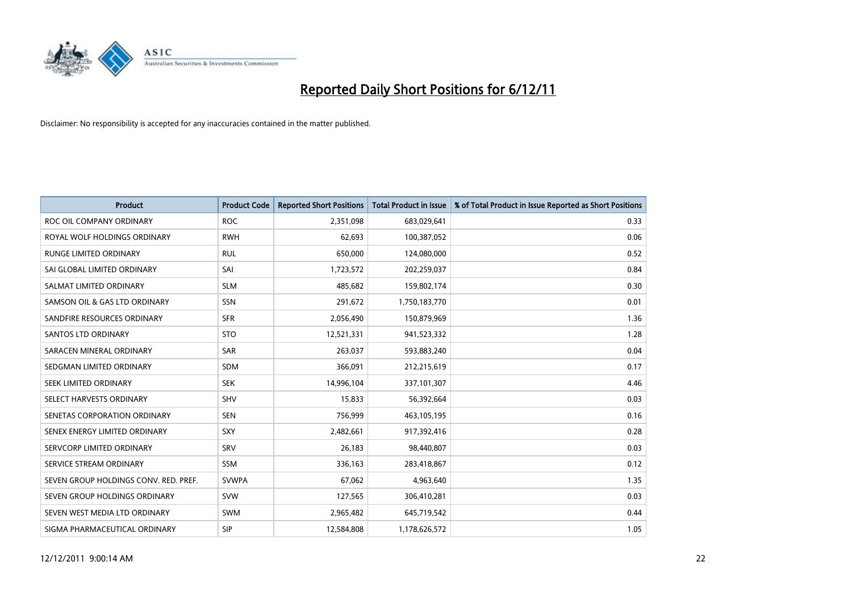

| <b>Product</b>                        | <b>Product Code</b> | <b>Reported Short Positions</b> | <b>Total Product in Issue</b> | % of Total Product in Issue Reported as Short Positions |
|---------------------------------------|---------------------|---------------------------------|-------------------------------|---------------------------------------------------------|
| ROC OIL COMPANY ORDINARY              | <b>ROC</b>          | 2,351,098                       | 683,029,641                   | 0.33                                                    |
| ROYAL WOLF HOLDINGS ORDINARY          | <b>RWH</b>          | 62,693                          | 100,387,052                   | 0.06                                                    |
| <b>RUNGE LIMITED ORDINARY</b>         | <b>RUL</b>          | 650,000                         | 124,080,000                   | 0.52                                                    |
| SAI GLOBAL LIMITED ORDINARY           | SAI                 | 1,723,572                       | 202,259,037                   | 0.84                                                    |
| SALMAT LIMITED ORDINARY               | <b>SLM</b>          | 485,682                         | 159,802,174                   | 0.30                                                    |
| SAMSON OIL & GAS LTD ORDINARY         | <b>SSN</b>          | 291,672                         | 1,750,183,770                 | 0.01                                                    |
| SANDFIRE RESOURCES ORDINARY           | <b>SFR</b>          | 2,056,490                       | 150,879,969                   | 1.36                                                    |
| <b>SANTOS LTD ORDINARY</b>            | <b>STO</b>          | 12,521,331                      | 941,523,332                   | 1.28                                                    |
| SARACEN MINERAL ORDINARY              | <b>SAR</b>          | 263,037                         | 593,883,240                   | 0.04                                                    |
| SEDGMAN LIMITED ORDINARY              | <b>SDM</b>          | 366,091                         | 212,215,619                   | 0.17                                                    |
| SEEK LIMITED ORDINARY                 | <b>SEK</b>          | 14,996,104                      | 337,101,307                   | 4.46                                                    |
| SELECT HARVESTS ORDINARY              | <b>SHV</b>          | 15,833                          | 56,392,664                    | 0.03                                                    |
| SENETAS CORPORATION ORDINARY          | <b>SEN</b>          | 756,999                         | 463,105,195                   | 0.16                                                    |
| SENEX ENERGY LIMITED ORDINARY         | <b>SXY</b>          | 2,482,661                       | 917,392,416                   | 0.28                                                    |
| SERVCORP LIMITED ORDINARY             | SRV                 | 26,183                          | 98,440,807                    | 0.03                                                    |
| SERVICE STREAM ORDINARY               | <b>SSM</b>          | 336,163                         | 283,418,867                   | 0.12                                                    |
| SEVEN GROUP HOLDINGS CONV. RED. PREF. | <b>SVWPA</b>        | 67,062                          | 4,963,640                     | 1.35                                                    |
| SEVEN GROUP HOLDINGS ORDINARY         | <b>SVW</b>          | 127,565                         | 306,410,281                   | 0.03                                                    |
| SEVEN WEST MEDIA LTD ORDINARY         | <b>SWM</b>          | 2,965,482                       | 645,719,542                   | 0.44                                                    |
| SIGMA PHARMACEUTICAL ORDINARY         | <b>SIP</b>          | 12,584,808                      | 1,178,626,572                 | 1.05                                                    |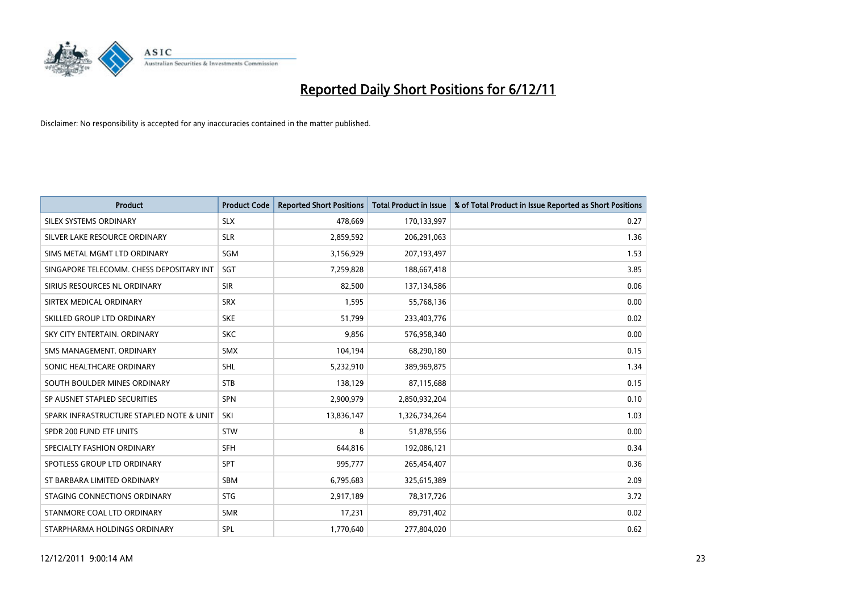

| <b>Product</b>                           | <b>Product Code</b> | <b>Reported Short Positions</b> | <b>Total Product in Issue</b> | % of Total Product in Issue Reported as Short Positions |
|------------------------------------------|---------------------|---------------------------------|-------------------------------|---------------------------------------------------------|
| SILEX SYSTEMS ORDINARY                   | <b>SLX</b>          | 478,669                         | 170,133,997                   | 0.27                                                    |
| SILVER LAKE RESOURCE ORDINARY            | <b>SLR</b>          | 2,859,592                       | 206,291,063                   | 1.36                                                    |
| SIMS METAL MGMT LTD ORDINARY             | <b>SGM</b>          | 3,156,929                       | 207,193,497                   | 1.53                                                    |
| SINGAPORE TELECOMM. CHESS DEPOSITARY INT | SGT                 | 7,259,828                       | 188,667,418                   | 3.85                                                    |
| SIRIUS RESOURCES NL ORDINARY             | <b>SIR</b>          | 82,500                          | 137,134,586                   | 0.06                                                    |
| SIRTEX MEDICAL ORDINARY                  | <b>SRX</b>          | 1,595                           | 55,768,136                    | 0.00                                                    |
| SKILLED GROUP LTD ORDINARY               | <b>SKE</b>          | 51,799                          | 233,403,776                   | 0.02                                                    |
| SKY CITY ENTERTAIN, ORDINARY             | <b>SKC</b>          | 9,856                           | 576,958,340                   | 0.00                                                    |
| SMS MANAGEMENT, ORDINARY                 | <b>SMX</b>          | 104,194                         | 68,290,180                    | 0.15                                                    |
| SONIC HEALTHCARE ORDINARY                | <b>SHL</b>          | 5,232,910                       | 389,969,875                   | 1.34                                                    |
| SOUTH BOULDER MINES ORDINARY             | <b>STB</b>          | 138,129                         | 87,115,688                    | 0.15                                                    |
| SP AUSNET STAPLED SECURITIES             | <b>SPN</b>          | 2,900,979                       | 2,850,932,204                 | 0.10                                                    |
| SPARK INFRASTRUCTURE STAPLED NOTE & UNIT | SKI                 | 13,836,147                      | 1,326,734,264                 | 1.03                                                    |
| SPDR 200 FUND ETF UNITS                  | <b>STW</b>          | 8                               | 51,878,556                    | 0.00                                                    |
| SPECIALTY FASHION ORDINARY               | <b>SFH</b>          | 644,816                         | 192,086,121                   | 0.34                                                    |
| SPOTLESS GROUP LTD ORDINARY              | <b>SPT</b>          | 995,777                         | 265,454,407                   | 0.36                                                    |
| ST BARBARA LIMITED ORDINARY              | <b>SBM</b>          | 6,795,683                       | 325,615,389                   | 2.09                                                    |
| STAGING CONNECTIONS ORDINARY             | <b>STG</b>          | 2,917,189                       | 78,317,726                    | 3.72                                                    |
| STANMORE COAL LTD ORDINARY               | <b>SMR</b>          | 17,231                          | 89,791,402                    | 0.02                                                    |
| STARPHARMA HOLDINGS ORDINARY             | SPL                 | 1.770.640                       | 277,804,020                   | 0.62                                                    |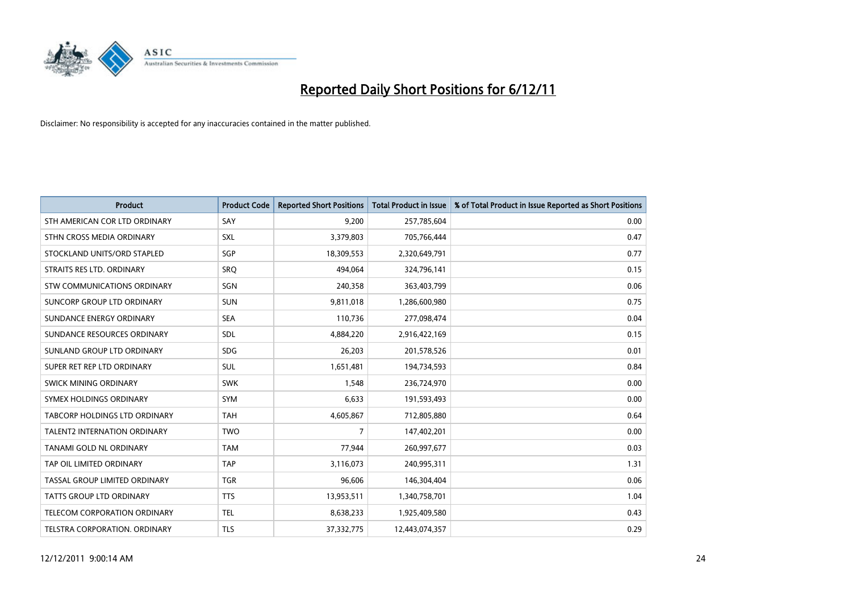

| <b>Product</b>                       | <b>Product Code</b> | <b>Reported Short Positions</b> | <b>Total Product in Issue</b> | % of Total Product in Issue Reported as Short Positions |
|--------------------------------------|---------------------|---------------------------------|-------------------------------|---------------------------------------------------------|
| STH AMERICAN COR LTD ORDINARY        | SAY                 | 9,200                           | 257,785,604                   | 0.00                                                    |
| STHN CROSS MEDIA ORDINARY            | <b>SXL</b>          | 3,379,803                       | 705,766,444                   | 0.47                                                    |
| STOCKLAND UNITS/ORD STAPLED          | SGP                 | 18,309,553                      | 2,320,649,791                 | 0.77                                                    |
| STRAITS RES LTD. ORDINARY            | SRQ                 | 494,064                         | 324,796,141                   | 0.15                                                    |
| <b>STW COMMUNICATIONS ORDINARY</b>   | SGN                 | 240,358                         | 363,403,799                   | 0.06                                                    |
| SUNCORP GROUP LTD ORDINARY           | <b>SUN</b>          | 9,811,018                       | 1,286,600,980                 | 0.75                                                    |
| SUNDANCE ENERGY ORDINARY             | <b>SEA</b>          | 110,736                         | 277,098,474                   | 0.04                                                    |
| SUNDANCE RESOURCES ORDINARY          | <b>SDL</b>          | 4,884,220                       | 2,916,422,169                 | 0.15                                                    |
| SUNLAND GROUP LTD ORDINARY           | <b>SDG</b>          | 26,203                          | 201,578,526                   | 0.01                                                    |
| SUPER RET REP LTD ORDINARY           | <b>SUL</b>          | 1,651,481                       | 194,734,593                   | 0.84                                                    |
| <b>SWICK MINING ORDINARY</b>         | <b>SWK</b>          | 1,548                           | 236,724,970                   | 0.00                                                    |
| SYMEX HOLDINGS ORDINARY              | <b>SYM</b>          | 6,633                           | 191,593,493                   | 0.00                                                    |
| <b>TABCORP HOLDINGS LTD ORDINARY</b> | <b>TAH</b>          | 4,605,867                       | 712,805,880                   | 0.64                                                    |
| <b>TALENT2 INTERNATION ORDINARY</b>  | <b>TWO</b>          | 7                               | 147,402,201                   | 0.00                                                    |
| TANAMI GOLD NL ORDINARY              | <b>TAM</b>          | 77,944                          | 260,997,677                   | 0.03                                                    |
| TAP OIL LIMITED ORDINARY             | <b>TAP</b>          | 3,116,073                       | 240,995,311                   | 1.31                                                    |
| TASSAL GROUP LIMITED ORDINARY        | <b>TGR</b>          | 96,606                          | 146,304,404                   | 0.06                                                    |
| TATTS GROUP LTD ORDINARY             | <b>TTS</b>          | 13,953,511                      | 1,340,758,701                 | 1.04                                                    |
| <b>TELECOM CORPORATION ORDINARY</b>  | <b>TEL</b>          | 8,638,233                       | 1,925,409,580                 | 0.43                                                    |
| TELSTRA CORPORATION. ORDINARY        | <b>TLS</b>          | 37,332,775                      | 12,443,074,357                | 0.29                                                    |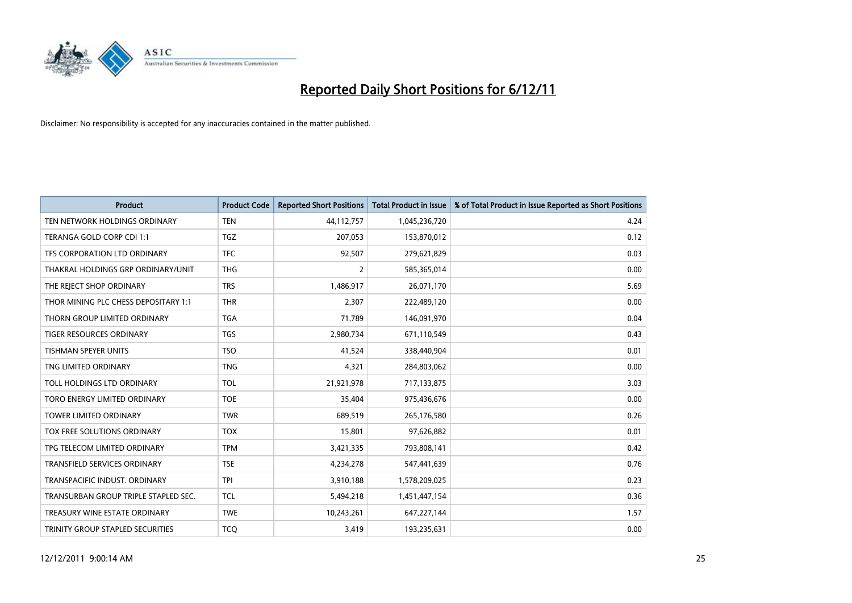

| <b>Product</b>                       | <b>Product Code</b> | <b>Reported Short Positions</b> | <b>Total Product in Issue</b> | % of Total Product in Issue Reported as Short Positions |
|--------------------------------------|---------------------|---------------------------------|-------------------------------|---------------------------------------------------------|
| TEN NETWORK HOLDINGS ORDINARY        | <b>TEN</b>          | 44,112,757                      | 1,045,236,720                 | 4.24                                                    |
| TERANGA GOLD CORP CDI 1:1            | <b>TGZ</b>          | 207,053                         | 153,870,012                   | 0.12                                                    |
| TFS CORPORATION LTD ORDINARY         | <b>TFC</b>          | 92,507                          | 279,621,829                   | 0.03                                                    |
| THAKRAL HOLDINGS GRP ORDINARY/UNIT   | <b>THG</b>          | $\overline{2}$                  | 585,365,014                   | 0.00                                                    |
| THE REJECT SHOP ORDINARY             | <b>TRS</b>          | 1,486,917                       | 26,071,170                    | 5.69                                                    |
| THOR MINING PLC CHESS DEPOSITARY 1:1 | <b>THR</b>          | 2,307                           | 222,489,120                   | 0.00                                                    |
| THORN GROUP LIMITED ORDINARY         | <b>TGA</b>          | 71,789                          | 146,091,970                   | 0.04                                                    |
| TIGER RESOURCES ORDINARY             | <b>TGS</b>          | 2,980,734                       | 671,110,549                   | 0.43                                                    |
| TISHMAN SPEYER UNITS                 | <b>TSO</b>          | 41,524                          | 338,440,904                   | 0.01                                                    |
| TNG LIMITED ORDINARY                 | <b>TNG</b>          | 4,321                           | 284,803,062                   | 0.00                                                    |
| TOLL HOLDINGS LTD ORDINARY           | <b>TOL</b>          | 21,921,978                      | 717,133,875                   | 3.03                                                    |
| TORO ENERGY LIMITED ORDINARY         | <b>TOE</b>          | 35,404                          | 975,436,676                   | 0.00                                                    |
| <b>TOWER LIMITED ORDINARY</b>        | <b>TWR</b>          | 689,519                         | 265,176,580                   | 0.26                                                    |
| TOX FREE SOLUTIONS ORDINARY          | <b>TOX</b>          | 15,801                          | 97,626,882                    | 0.01                                                    |
| TPG TELECOM LIMITED ORDINARY         | <b>TPM</b>          | 3,421,335                       | 793,808,141                   | 0.42                                                    |
| <b>TRANSFIELD SERVICES ORDINARY</b>  | <b>TSE</b>          | 4,234,278                       | 547,441,639                   | 0.76                                                    |
| TRANSPACIFIC INDUST, ORDINARY        | <b>TPI</b>          | 3,910,188                       | 1,578,209,025                 | 0.23                                                    |
| TRANSURBAN GROUP TRIPLE STAPLED SEC. | <b>TCL</b>          | 5,494,218                       | 1,451,447,154                 | 0.36                                                    |
| TREASURY WINE ESTATE ORDINARY        | <b>TWE</b>          | 10,243,261                      | 647,227,144                   | 1.57                                                    |
| TRINITY GROUP STAPLED SECURITIES     | <b>TCO</b>          | 3,419                           | 193,235,631                   | 0.00                                                    |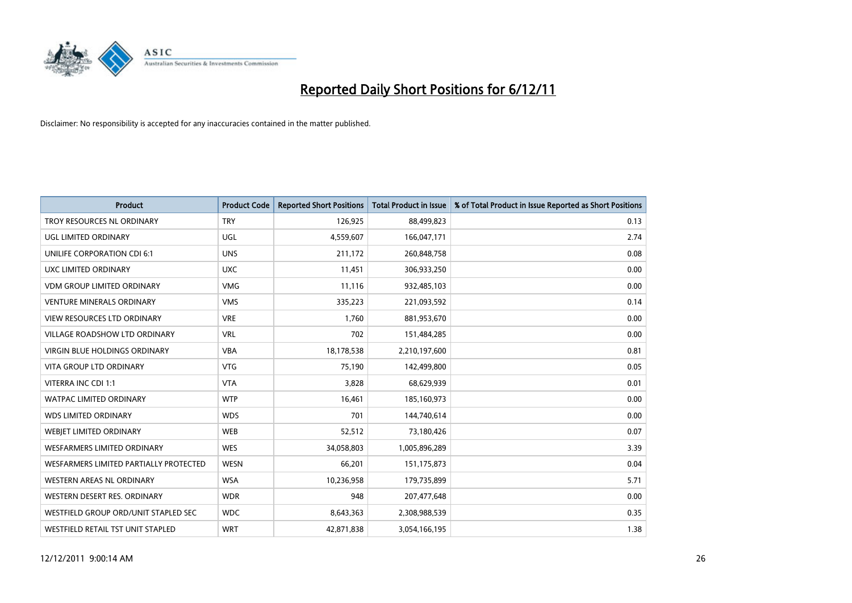

| <b>Product</b>                         | <b>Product Code</b> | <b>Reported Short Positions</b> | <b>Total Product in Issue</b> | % of Total Product in Issue Reported as Short Positions |
|----------------------------------------|---------------------|---------------------------------|-------------------------------|---------------------------------------------------------|
| TROY RESOURCES NL ORDINARY             | <b>TRY</b>          | 126,925                         | 88,499,823                    | 0.13                                                    |
| UGL LIMITED ORDINARY                   | UGL                 | 4,559,607                       | 166,047,171                   | 2.74                                                    |
| <b>UNILIFE CORPORATION CDI 6:1</b>     | <b>UNS</b>          | 211,172                         | 260,848,758                   | 0.08                                                    |
| UXC LIMITED ORDINARY                   | <b>UXC</b>          | 11,451                          | 306,933,250                   | 0.00                                                    |
| <b>VDM GROUP LIMITED ORDINARY</b>      | <b>VMG</b>          | 11,116                          | 932,485,103                   | 0.00                                                    |
| <b>VENTURE MINERALS ORDINARY</b>       | <b>VMS</b>          | 335,223                         | 221,093,592                   | 0.14                                                    |
| VIEW RESOURCES LTD ORDINARY            | <b>VRE</b>          | 1,760                           | 881,953,670                   | 0.00                                                    |
| <b>VILLAGE ROADSHOW LTD ORDINARY</b>   | <b>VRL</b>          | 702                             | 151,484,285                   | 0.00                                                    |
| <b>VIRGIN BLUE HOLDINGS ORDINARY</b>   | <b>VBA</b>          | 18,178,538                      | 2,210,197,600                 | 0.81                                                    |
| <b>VITA GROUP LTD ORDINARY</b>         | <b>VTG</b>          | 75,190                          | 142,499,800                   | 0.05                                                    |
| VITERRA INC CDI 1:1                    | <b>VTA</b>          | 3,828                           | 68,629,939                    | 0.01                                                    |
| <b>WATPAC LIMITED ORDINARY</b>         | <b>WTP</b>          | 16,461                          | 185,160,973                   | 0.00                                                    |
| <b>WDS LIMITED ORDINARY</b>            | <b>WDS</b>          | 701                             | 144,740,614                   | 0.00                                                    |
| WEBIET LIMITED ORDINARY                | <b>WEB</b>          | 52,512                          | 73,180,426                    | 0.07                                                    |
| <b>WESFARMERS LIMITED ORDINARY</b>     | <b>WES</b>          | 34,058,803                      | 1,005,896,289                 | 3.39                                                    |
| WESFARMERS LIMITED PARTIALLY PROTECTED | <b>WESN</b>         | 66,201                          | 151, 175, 873                 | 0.04                                                    |
| WESTERN AREAS NL ORDINARY              | <b>WSA</b>          | 10,236,958                      | 179,735,899                   | 5.71                                                    |
| WESTERN DESERT RES. ORDINARY           | <b>WDR</b>          | 948                             | 207,477,648                   | 0.00                                                    |
| WESTFIELD GROUP ORD/UNIT STAPLED SEC   | <b>WDC</b>          | 8,643,363                       | 2,308,988,539                 | 0.35                                                    |
| WESTFIELD RETAIL TST UNIT STAPLED      | <b>WRT</b>          | 42,871,838                      | 3,054,166,195                 | 1.38                                                    |